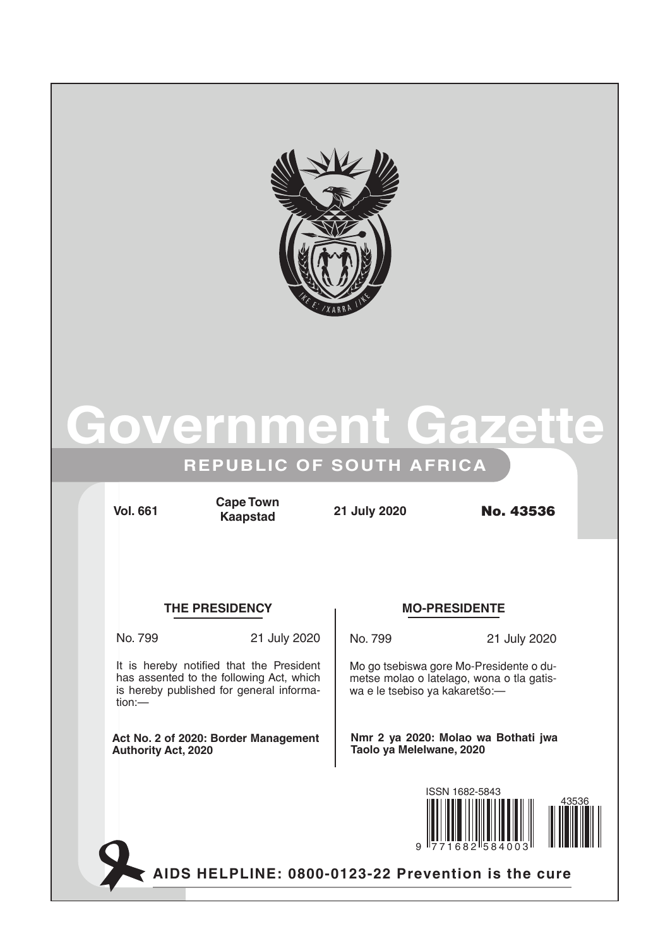

# **Government Gazette**

### **REPUBLIC OF SOUTH AFRICA**

**Vol. 661 21 July 2020** No. 43536 **Cape Town Kaapstad**

### **THE PRESIDENCY MO-PRESIDENTE**

It is hereby notified that the President has assented to the following Act, which is hereby published for general informa-

**Act No. 2 of 2020: Border Management** 

tion:—

**Authority Act, 2020**

No. 799 21 July 2020

No. 799 21 July 2020

Mo go tsebiswa gore Mo-Presidente o dumetse molao o latelago, wona o tla gatiswa e le tsebiso ya kakaretšo:—

**Nmr 2 ya 2020: Molao wa Bothati jwa Taolo ya Melelwane, 2020**



**AIDS HELPLINE: 0800-0123-22 Prevention is the cure**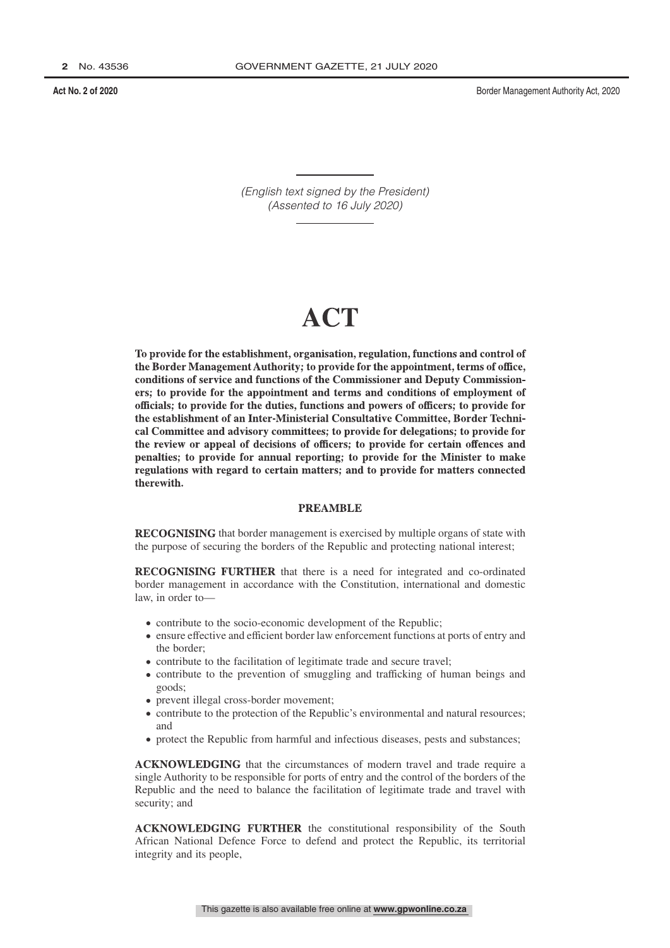*(English text signed by the President) (Assented to 16 July 2020)*

## **ACT**

To provide for the establishment, organisation, regulation, functions and control of the Border Management Authority: to provide for the appointment, terms of office, conditions of service and functions of the Commissioner and Deputy Commissioners; to provide for the appointment and terms and conditions of employment of officials; to provide for the duties, functions and powers of officers; to provide for the establishment of an Inter-Ministerial Consultative Committee, Border Technical Committee and advisory committees; to provide for delegations; to provide for the review or appeal of decisions of officers; to provide for certain offences and penalties; to provide for annual reporting; to provide for the Minister to make regulations with regard to certain matters; and to provide for matters connected therewith.

#### **PREAMBLE**

**RECOGNISING** that border management is exercised by multiple organs of state with the purpose of securing the borders of the Republic and protecting national interest;

**RECOGNISING FURTHER** that there is a need for integrated and co-ordinated border management in accordance with the Constitution, international and domestic law, in order to—

- contribute to the socio-economic development of the Republic;
- ensure effective and efficient border law enforcement functions at ports of entry and the border;
- contribute to the facilitation of legitimate trade and secure travel;
- contribute to the prevention of smuggling and trafficking of human beings and goods;
- prevent illegal cross-border movement;
- contribute to the protection of the Republic's environmental and natural resources; and
- protect the Republic from harmful and infectious diseases, pests and substances;

ACKNOWLEDGING that the circumstances of modern travel and trade require a single Authority to be responsible for ports of entry and the control of the borders of the Republic and the need to balance the facilitation of legitimate trade and travel with security; and

ACKNOWLEDGING FURTHER the constitutional responsibility of the South African National Defence Force to defend and protect the Republic, its territorial integrity and its people,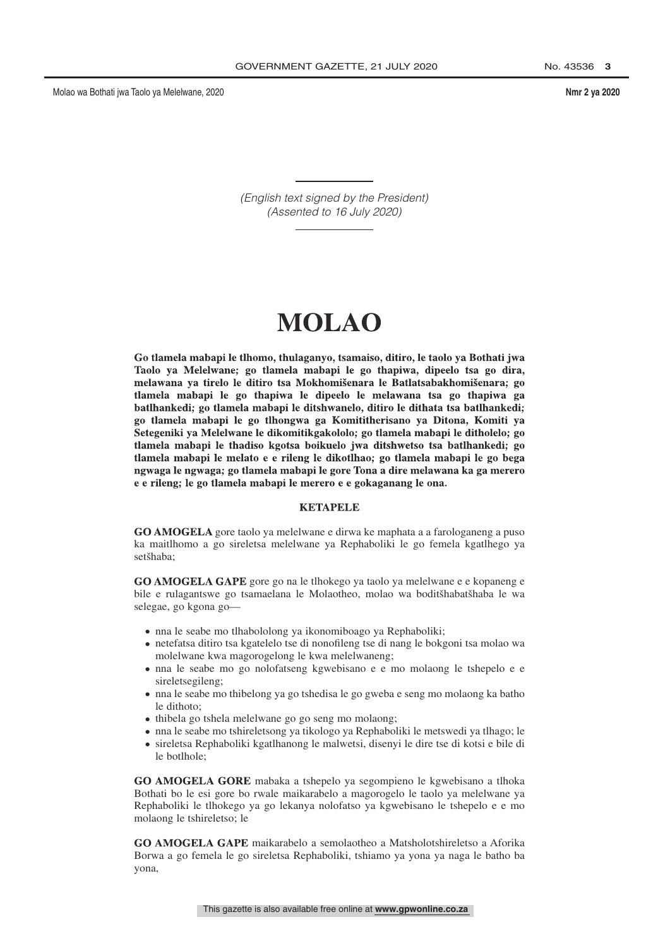*(English text signed by the President) (Assented to 16 July 2020)*

## **MOLAO**

Go tlamela mabapi le tlhomo, thulaganyo, tsamaiso, ditiro, le taolo ya Bothati jwa Taolo ya Melelwane; go tlamela mabapi le go thapiwa, dipeelo tsa go dira, melawana ya tirelo le ditiro tsa Mokhomišenara le Batlatsabakhomišenara; go tlamela mabapi le go thapiwa le dipeelo le melawana tsa go thapiwa ga batlhankedi; go tlamela mabapi le ditshwanelo, ditiro le dithata tsa batlhankedi; go tlamela mabapi le go tlhongwa ga Komititherisano ya Ditona, Komiti ya Setegeniki ya Melelwane le dikomitikgakololo; go tlamela mabapi le ditholelo; go tlamela mabapi le thadiso kgotsa boikuelo jwa ditshwetso tsa batlhankedi; go tlamela mabapi le melato e e rileng le dikotlhao; go tlamela mabapi le go bega ngwaga le ngwaga; go tlamela mabapi le gore Tona a dire melawana ka ga merero e e rileng; le go tlamela mabapi le merero e e gokaganang le ona.

#### **KETAPELE**

GO AMOGELA gore taolo ya melelwane e dirwa ke maphata a a farologaneng a puso ka maitlhomo a go sireletsa melelwane ya Rephaboliki le go femela kgatlhego ya setšhaba:

GO AMOGELA GAPE gore go na le tlhokego ya taolo ya melelwane e e kopaneng e bile e rulagantswe go tsamaelana le Molaotheo, molao wa boditšhabatšhaba le wa selegae, go kgona go—

- nna le seabe mo tlhabololong ya ikonomiboago ya Rephaboliki;
- netefatsa ditiro tsa kgatelelo tse di nonofileng tse di nang le bokgoni tsa molao wa molelwane kwa magorogelong le kwa melelwaneng;
- nna le seabe mo go nolofatseng kgwebisano e e mo molaong le tshepelo e e sireletsegileng;
- nna le seabe mo thibelong ya go tshedisa le go gweba e seng mo molaong ka batho le dithoto;
- $\bullet$  thibela go tshela melelwane go go seng mo molaong;
- nna le seabe mo tshireletsong ya tikologo ya Rephaboliki le metswedi ya tlhago; le
- sireletsa Rephaboliki kgatlhanong le malwetsi, disenyi le dire tse di kotsi e bile di le botlhole;

GO AMOGELA GORE mabaka a tshepelo ya segompieno le kgwebisano a tlhoka Bothati bo le esi gore bo rwale maikarabelo a magorogelo le taolo ya melelwane ya Rephaboliki le tlhokego ya go lekanya nolofatso ya kgwebisano le tshepelo e e mo molaong le tshireletso; le

GO AMOGELA GAPE maikarabelo a semolaotheo a Matsholotshireletso a Aforika Borwa a go femela le go sireletsa Rephaboliki, tshiamo ya yona ya naga le batho ba yona,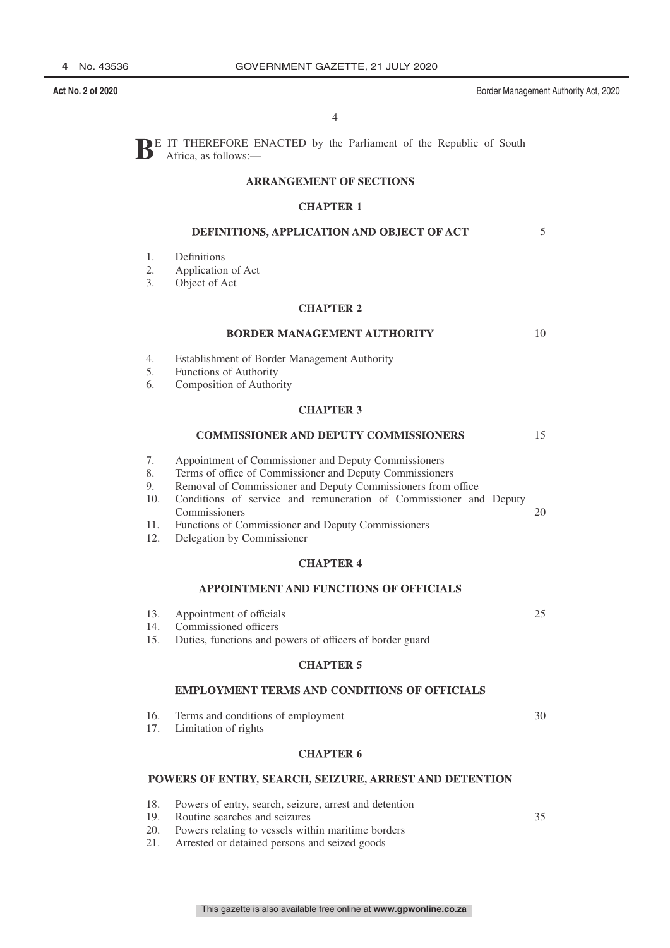4

BE IT THEREFORE ENACTED by the Parliament of the Republic of South Africa, as follows:—

### **ARRANGEMENT OF SECTIONS**

#### **CHAPTER 1**

#### DEFINITIONS, APPLICATION AND OBJECT OF ACT

- 1. Definitions
- 2. Application of Act
- 3. Object of Act

#### **CHAPTER 2**

### **BORDER MANAGEMENT AUTHORITY**

- 4. Establishment of Border Management Authority
- 5. Functions of Authority
- 6. Composition of Authority

#### **CHAPTER 3**

#### **COMMISSIONER AND DEPUTY COMMISSIONERS** 15

- 7. Appointment of Commissioner and Deputy Commissioners
- 8. Terms of office of Commissioner and Deputy Commissioners
- 9. Removal of Commissioner and Deputy Commissioners from office
- 10. Conditions of service and remuneration of Commissioner and Deputy Commissioners 20
- 11. Functions of Commissioner and Deputy Commissioners
- 12. Delegation by Commissioner

#### **CHAPTER 4**

#### APPOINTMENT AND FUNCTIONS OF OFFICIALS

- 13. Appointment of officials
- 14. Commissioned officers
- 15. Duties, functions and powers of officers of border guard

#### **CHAPTER 5**

#### **EMPLOYMENT TERMS AND CONDITIONS OF OFFICIALS**

- 16. Terms and conditions of employment
- 17. Limitation of rights

#### **CHAPTER 6**

#### POWERS OF ENTRY, SEARCH, SEIZURE, ARREST AND DETENTION

- 18. Powers of entry, search, seizure, arrest and detention 19. Routine searches and seizures
- 19. Routine searches and seizures
- 20. Powers relating to vessels within maritime borders
- 21. Arrested or detained persons and seized goods

## 10

5

25

30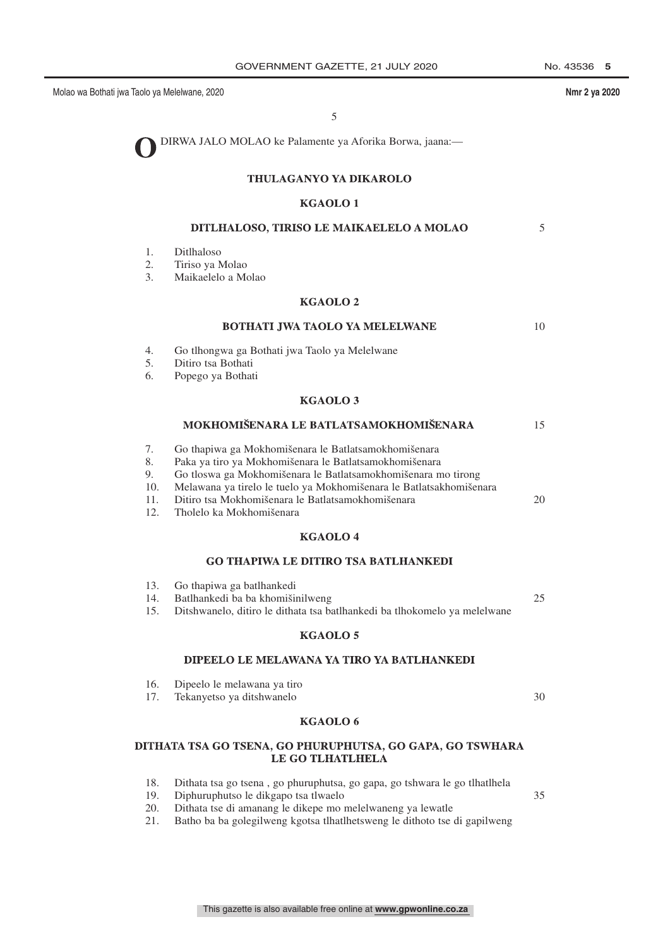5

DIRWA JALO MOLAO ke Palamente ya Aforika Borwa, jaana:—

### THULAGANYO YA DIKAROLO

#### KGAOLO<sub>1</sub>

#### DITLHALOSO, TIRISO LE MAIKAELELO A MOLAO

- 1. Ditlhaloso
- 2. Tiriso ya Molao
- 3. Maikaelelo a Molao

#### **KGAOLO2**

### **BOTHATI JWA TAOLO YA MELELWANE**

- 4. Go tlhongwa ga Bothati jwa Taolo ya Melelwane
- 5. Ditiro tsa Bothati
- 6. Popego ya Bothati

#### **KGAOLO3**

#### MOKHOMIŠENARA LE BATLATSAMOKHOMIŠENARA 15

- 7. Go thapiwa ga Mokhomišenara le Batlatsamokhomišenara
- 8. Paka ya tiro ya Mokhomišenara le Batlatsamokhomišenara
- 9. Go tloswa ga Mokhomišenara le Batlatsamokhomišenara mo tirong<br>10. Melawana va tirelo le tuelo va Mokhomišenara le Batlatsakhomišen
- Melawana ya tirelo le tuelo ya Mokhomišenara le Batlatsakhomišenara
- 11. Ditiro tsa Mokhomišenara le Batlatsamokhomišenara
- 12. Tholelo ka Mokhomišenara

#### **KGAOLO4**

### **GO THAPIWA LE DITIRO TSA BATLHANKEDI**

13. Go thapiwa ga batlhankedi 14. Batlhankedi ba ba khomišinilweng 25

15. Ditshwanelo, ditiro le dithata tsa batlhankedi ba tlhokomelo ya melelwane

#### **KGAOLO 5**

#### DIPEELO LE MELAWANA YA TIRO YA BATLHANKEDI

- 16. Dipeelo le melawana ya tiro
- 17. Tekanyetso ya ditshwanelo

#### KGAOLO 6

#### DITHATA TSA GO TSENA, GO PHURUPHUTSA, GO GAPA, GO TSWHARA **LE GO TLHATLHELA**

- 18. Dithata tsa go tsena , go phuruphutsa, go gapa, go tshwara le go tlhatlhela
- 19. Diphuruphutso le dikgapo tsa tlwaelo
- 20. Dithata tse di amanang le dikepe mo melelwaneng ya lewatle
- 21. Batho ba ba golegilweng kgotsa tlhatlhetsweng le dithoto tse di gapilweng

10

5

20

30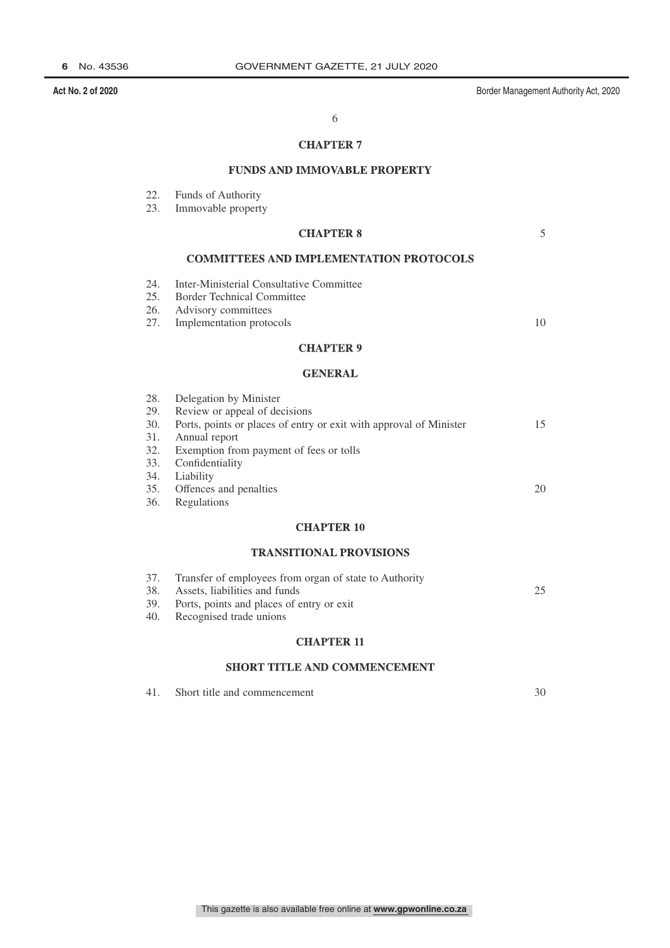6

### **CHAPTER 7**

#### **FUNDS AND IMMOVABLE PROPERTY**

- 22. Funds of Authority<br>23. Immovable property
- Immovable property

#### **CHAPTER 8**

#### **COMMITTEES AND IMPLEMENTATION PROTOCOLS**

| 24.<br>25.<br>26.<br>27.                                    | Inter-Ministerial Consultative Committee<br><b>Border Technical Committee</b><br>Advisory committees<br>Implementation protocols                                                                                                                                   |  |  |  |  |
|-------------------------------------------------------------|--------------------------------------------------------------------------------------------------------------------------------------------------------------------------------------------------------------------------------------------------------------------|--|--|--|--|
|                                                             | <b>CHAPTER 9</b>                                                                                                                                                                                                                                                   |  |  |  |  |
| <b>GENERAL</b>                                              |                                                                                                                                                                                                                                                                    |  |  |  |  |
| 28.<br>29.<br>30.<br>31.<br>32.<br>33.<br>34.<br>35.<br>36. | Delegation by Minister<br>Review or appeal of decisions<br>Ports, points or places of entry or exit with approval of Minister<br>Annual report<br>Exemption from payment of fees or tolls<br>Confidentiality<br>Liability<br>Offences and penalties<br>Regulations |  |  |  |  |
| <b>CHAPTER 10</b>                                           |                                                                                                                                                                                                                                                                    |  |  |  |  |
| <b>TRANSITIONAL PROVISIONS</b>                              |                                                                                                                                                                                                                                                                    |  |  |  |  |
| 37.<br>38.<br>39.<br>40.                                    | Transfer of employees from organ of state to Authority<br>Assets, liabilities and funds<br>Ports, points and places of entry or exit<br>Recognised trade unions                                                                                                    |  |  |  |  |

### **CHAPTER 11**

### **SHORT TITLE AND COMMENCEMENT**

41. Short title and commencement

30

5

10

15

20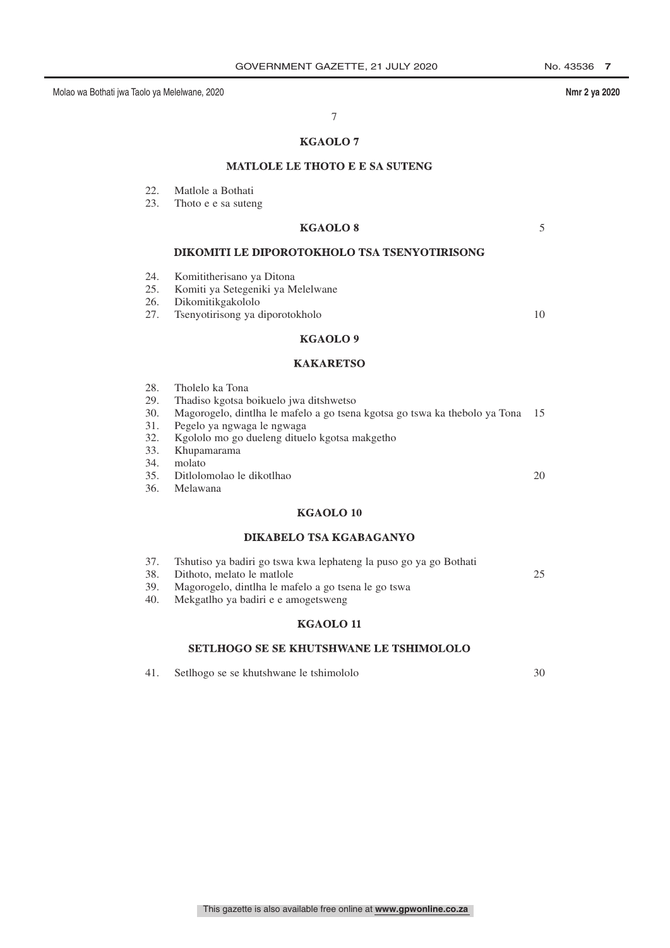7

#### **KGAOLO7**

#### MATLOLE LE THOTO E E SA SUTENG

- 22. Matlole a Bothati
- 23. Thoto e e sa suteng

### **KGAOLO 8**

#### DIKOMITI LE DIPOROTOKHOLO TSA TSENYOTIRISONG

- 24. Komititherisano ya Ditona<br>25. Komiti ya Setegeniki ya M
- 25. Komiti ya Setegeniki ya Melelwane
- 26. Dikomitikgakololo<br>27. Tsenyotirisong ya c
- Tsenyotirisong ya diporotokholo

### **KGAOLO9**

#### **KAKARETSO**

- 28. Tholelo ka Tona
- 29. Thadiso kgotsa boikuelo jwa ditshwetso
- 30. Magorogelo, dintlha le mafelo a go tsena kgotsa go tswa ka thebolo ya Tona 15
- 31. Pegelo ya ngwaga le ngwaga
- 32. Kgololo mo go dueleng dituelo kgotsa makgetho
- 33. Khupamarama
- 34. molato
- 35. Ditlolomolao le dikotlhao
- 36. Melawana

#### KGAOLO 10

#### **DIKABELO TSA KGABAGANYO**

|     | 37. Tshutiso ya badiri go tswa kwa lephateng la puso go ya go Bothati |    |
|-----|-----------------------------------------------------------------------|----|
|     | 38. Dithoto, melato le matlole                                        | 25 |
| 39. | Magorogelo, dintlha le mafelo a go tsena le go tswa                   |    |
| 40. | Mekgatlho ya badiri e e amogetsweng                                   |    |
|     |                                                                       |    |

#### **KGAOLO 11**

#### SETLHOGO SE SE KHUTSHWANE LE TSHIMOLOLO

41. Setlhogo se se khutshwane le tshimololo

30

5

10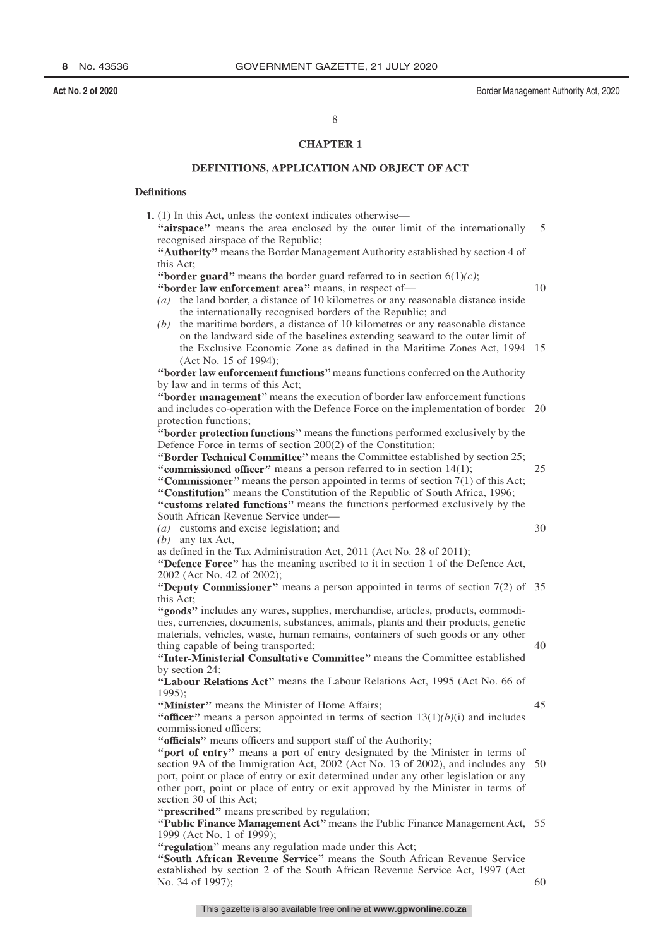10

#### 8

#### **CHAPTER 1**

#### DEFINITIONS, APPLICATION AND OBJECT OF ACT

#### **Definitions**

(1) In this Act, unless the context indicates otherwise—

"airspace" means the area enclosed by the outer limit of the internationally recognised airspace of the Republic; 5

"Authority" means the Border Management Authority established by section 4 of this Act;

"border guard" means the border guard referred to in section  $6(1)(c)$ ;

"border law enforcement area" means, in respect of-

- *(a)* the land border, a distance of 10 kilometres or any reasonable distance inside the internationally recognised borders of the Republic; and
- *(b)* the maritime borders, a distance of 10 kilometres or any reasonable distance on the landward side of the baselines extending seaward to the outer limit of the Exclusive Economic Zone as defined in the Maritime Zones Act, 1994 15 (Act No. 15 of 1994);

"border law enforcement functions" means functions conferred on the Authority by law and in terms of this Act;

"border management" means the execution of border law enforcement functions and includes co-operation with the Defence Force on the implementation of border 20 protection functions;

"border protection functions" means the functions performed exclusively by the Defence Force in terms of section 200(2) of the Constitution;

"Border Technical Committee" means the Committee established by section 25; "commissioned officer" means a person referred to in section  $14(1)$ ; 25

"Commissioner" means the person appointed in terms of section  $7(1)$  of this Act; "Constitution" means the Constitution of the Republic of South Africa, 1996;

"customs related functions" means the functions performed exclusively by the South African Revenue Service under—

*(a)* customs and excise legislation; and

*(b)* any tax Act,

as defined in the Tax Administration Act, 2011 (Act No. 28 of 2011);

"Defence Force" has the meaning ascribed to it in section 1 of the Defence Act, 2002 (Act No. 42 of 2002);

means a person appointed in terms of section 7(2) of 35 this Act;

"goods" includes any wares, supplies, merchandise, articles, products, commodities, currencies, documents, substances, animals, plants and their products, genetic materials, vehicles, waste, human remains, containers of such goods or any other thing capable of being transported;

"Inter-Ministerial Consultative Committee" means the Committee established by section 24;

"Labour Relations Act" means the Labour Relations Act, 1995 (Act No. 66 of 1995);

"Minister" means the Minister of Home Affairs;

"officer" means a person appointed in terms of section  $13(1)(b)(i)$  and includes commissioned officers;

"officials" means officers and support staff of the Authority;

"port of entry" means a port of entry designated by the Minister in terms of section 9A of the Immigration Act, 2002 (Act No. 13 of 2002), and includes any port, point or place of entry or exit determined under any other legislation or any other port, point or place of entry or exit approved by the Minister in terms of section 30 of this Act: 50

"**prescribed**" means prescribed by regulation;

means the Public Finance Management Act, 55 1999 (Act No. 1 of 1999);

"regulation" means any regulation made under this Act;

"South African Revenue Service" means the South African Revenue Service established by section 2 of the South African Revenue Service Act, 1997 (Act No. 34 of 1997);

40

45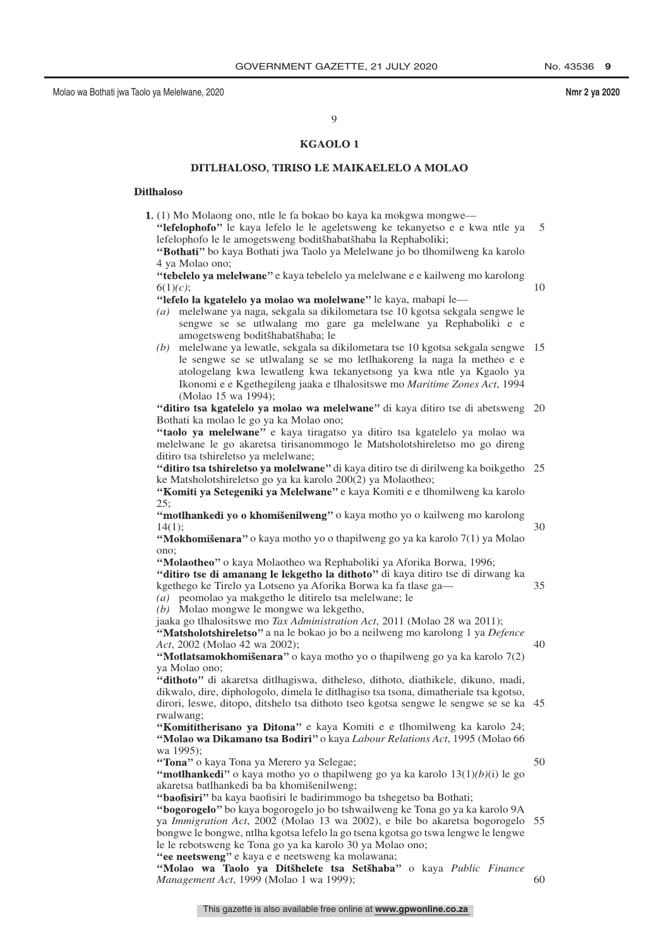#### 9

#### **KGAOLO1**

#### DITLHALOSO, TIRISO LE MAIKAELELO A MOLAO

1. (1) Mo Molaong ono, ntle le fa bokao bo kaya ka mokgwa mongwe—

#### **Ditlhaloso**

"lefelophofo" le kaya lefelo le le ageletsweng ke tekanyetso e e kwa ntle ya lefelophofo le le amogetsweng boditšhabatšhaba la Rephaboliki; "Bothati" bo kaya Bothati jwa Taolo ya Melelwane jo bo tlhomilweng ka karolo 4 ya Molao ono; "tebelelo ya melelwane" e kaya tebelelo ya melelwane e e kailweng mo karolong 6(1)*(c)*; "lefelo la kgatelelo ya molao wa molelwane" le kaya, mabapi le-*(a)* melelwane ya naga, sekgala sa dikilometara tse 10 kgotsa sekgala sengwe le sengwe se se utlwalang mo gare ga melelwane ya Rephaboliki e e amogetsweng boditšhabatšhaba; le *(b)* melelwane ya lewatle, sekgala sa dikilometara tse 10 kgotsa sekgala sengwe 15 le sengwe se se utlwalang se se mo letlhakoreng la naga la metheo e e atologelang kwa lewatleng kwa tekanyetsong ya kwa ntle ya Kgaolo ya Ikonomi e e Kgethegileng jaaka e tlhalositswe mo *Maritime Zones Act*, 1994 (Molao 15 wa 1994); di kaya ditiro tse di abetsweng 20 Bothati ka molao le go ya ka Molao ono; "taolo ya melelwane" e kaya tiragatso ya ditiro tsa kgatelelo ya molao wa melelwane le go akaretsa tirisanommogo le Matsholotshireletso mo go direng ditiro tsa tshireletso ya melelwane; di kaya ditiro tse di dirilweng ka boikgetho 25 ke Matsholotshireletso go ya ka karolo 200(2) ya Molaotheo; "Komiti ya Setegeniki ya Melelwane" e kaya Komiti e e tlhomilweng ka karolo 25; "motlhankedi yo o khomišenilweng" o kaya motho yo o kailweng mo karolong 14(1); "Mokhomišenara" o kaya motho yo o thapilweng go ya ka karolo  $7(1)$  ya Molao ono; "Molaotheo" o kaya Molaotheo wa Rephaboliki ya Aforika Borwa, 1996; "ditiro tse di amanang le lekgetho la dithoto" di kaya ditiro tse di dirwang ka kgethego ke Tirelo ya Lotseno ya Aforika Borwa ka fa tlase ga— *(a)* peomolao ya makgetho le ditirelo tsa melelwane; le *(b)* Molao mongwe le mongwe wa lekgetho, jaaka go tlhalositswe mo *Tax Administration Act*, 2011 (Molao 28 wa 2011); "Matsholotshireletso" a na le bokao jo bo a neilweng mo karolong 1 ya *Defence Act*, 2002 (Molao 42 wa 2002); "Motlatsamokhomišenara" o kaya motho yo o thapilweng go ya ka karolo 7(2) ya Molao ono; "dithoto" di akaretsa ditlhagiswa, ditheleso, dithoto, diathikele, dikuno, madi, dikwalo, dire, diphologolo, dimela le ditlhagiso tsa tsona, dimatheriale tsa kgotso, dirori, leswe, ditopo, ditshelo tsa dithoto tseo kgotsa sengwe le sengwe se se ka 45 rwalwang; "Komititherisano ya Ditona" e kaya Komiti e e tlhomilweng ka karolo 24; "Molao wa Dikamano tsa Bodiri" o kaya *Labour Relations Act*, 1995 (Molao 66 wa 1995); "Tona" o kaya Tona ya Merero ya Selegae; "motlhankedi" o kaya motho yo o thapilweng go ya ka karolo  $13(1)(b)(i)$  le go akaretsa batlhankedi ba ba khomišenilweng; "baofisiri" ba kaya baofisiri le badirimmogo ba tshegetso ba Bothati; "bogorogelo" bo kaya bogorogelo jo bo tshwailweng ke Tona go ya ka karolo 9A ya *Immigration Act*, 2002 (Molao 13 wa 2002), e bile bo akaretsa bogorogelo 55 bongwe le bongwe, ntlha kgotsa lefelo la go tsena kgotsa go tswa lengwe le lengwe le le rebotsweng ke Tona go ya ka karolo 30 ya Molao ono; "ee neetsweng" e kaya e e neetsweng ka molawana; "Molao wa Taolo ya Ditšhelete tsa Setšhaba" o kaya Public Finance *Management Act*, 1999 (Molao 1 wa 1999); 5 10 30 35 40 50 60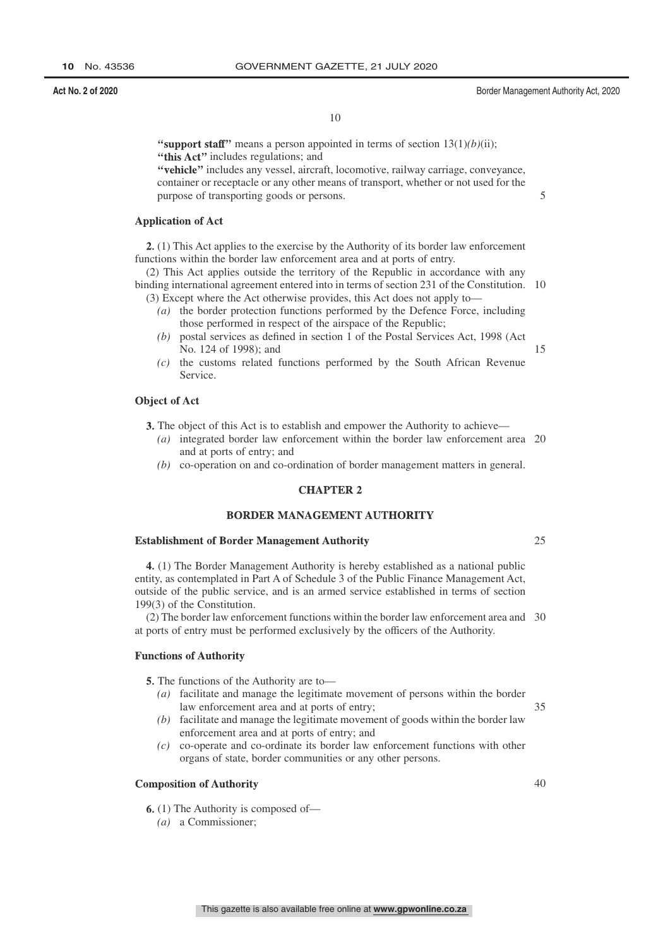10

"support staff" means a person appointed in terms of section  $13(1)(b)(ii)$ ; "this Act" includes regulations; and

"vehicle" includes any vessel, aircraft, locomotive, railway carriage, conveyance, container or receptacle or any other means of transport, whether or not used for the purpose of transporting goods or persons.

#### **Application of Act**

(1) This Act applies to the exercise by the Authority of its border law enforcement functions within the border law enforcement area and at ports of entry.

(2) This Act applies outside the territory of the Republic in accordance with any binding international agreement entered into in terms of section 231 of the Constitution. 10

- (3) Except where the Act otherwise provides, this Act does not apply to—
	- *(a)* the border protection functions performed by the Defence Force, including those performed in respect of the airspace of the Republic;
	- *(b)* postal services as defined in section 1 of the Postal Services Act, 1998 (Act No. 124 of 1998); and 15
	- *(c)* the customs related functions performed by the South African Revenue Service.

#### **Object of Act**

- **3.** The object of this Act is to establish and empower the Authority to achieve—
	- *(a)* integrated border law enforcement within the border law enforcement area 20 and at ports of entry; and
	- *(b)* co-operation on and co-ordination of border management matters in general.

#### **CHAPTER 2**

#### **BORDER MANAGEMENT AUTHORITY**

#### **Establishment of Border Management Authority**

(1) The Border Management Authority is hereby established as a national public entity, as contemplated in Part A of Schedule 3 of the Public Finance Management Act, outside of the public service, and is an armed service established in terms of section 199(3) of the Constitution.

(2) The border law enforcement functions within the border law enforcement area and 30 at ports of entry must be performed exclusively by the officers of the Authority.

#### **Functions of Authority**

**5.** The functions of the Authority are to-

- *(a)* facilitate and manage the legitimate movement of persons within the border law enforcement area and at ports of entry; 35
- *(b)* facilitate and manage the legitimate movement of goods within the border law enforcement area and at ports of entry; and
- *(c)* co-operate and co-ordinate its border law enforcement functions with other organs of state, border communities or any other persons.

#### **Composition of Authority**

- **6.** (1) The Authority is composed of—
	- *(a)* a Commissioner;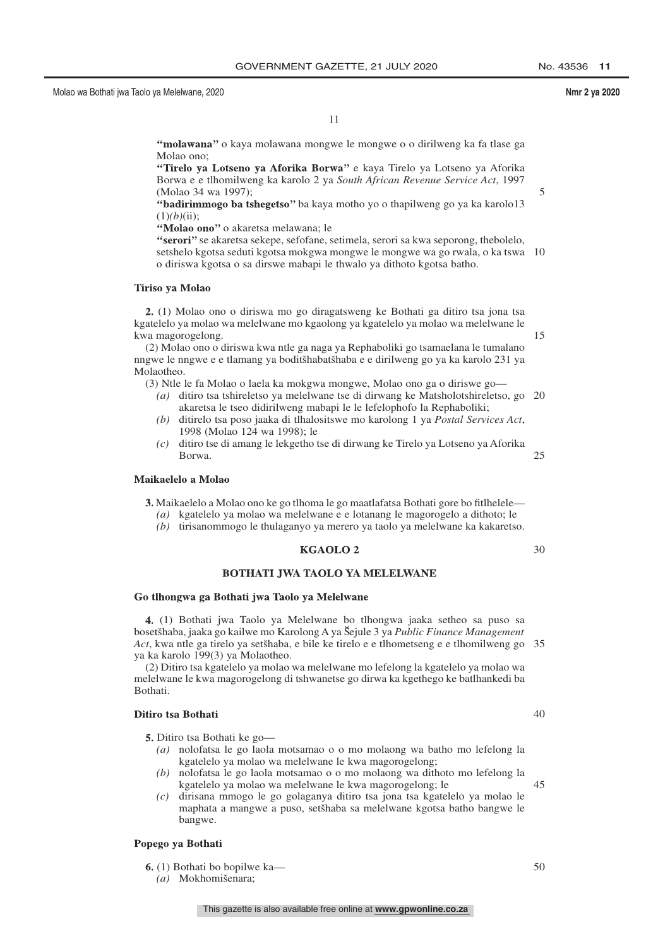5

11

"molawana" o kaya molawana mongwe le mongwe o o dirilweng ka fa tlase ga Molao ono;

"Tirelo ya Lotseno ya Aforika Borwa" e kaya Tirelo ya Lotseno ya Aforika Borwa e e tlhomilweng ka karolo 2 ya *South African Revenue Service Act*, 1997 (Molao 34 wa 1997);

"badirimmogo ba tshegetso" ba kaya motho yo o thapilweng go ya ka karolo13  $(1)(b)(ii)$ ;

"Molao ono" o akaretsa melawana: le

"serori" se akaretsa sekepe, sefofane, setimela, serori sa kwa seporong, thebolelo, setshelo kgotsa seduti kgotsa mokgwa mongwe le mongwe wa go rwala, o ka tswa 10 o diriswa kgotsa o sa dirswe mabapi le thwalo ya dithoto kgotsa batho.

#### Tiriso ya Molao

(1) Molao ono o diriswa mo go diragatsweng ke Bothati ga ditiro tsa jona tsa kgatelelo ya molao wa melelwane mo kgaolong ya kgatelelo ya molao wa melelwane le kwa magorogelong.

(2) Molao ono o diriswa kwa ntle ga naga ya Rephaboliki go tsamaelana le tumalano nngwe le nngwe e e tlamang ya boditšhabatšhaba e e dirilweng go ya ka karolo 231 ya Molaotheo.

(3) Ntle le fa Molao o laela ka mokgwa mongwe, Molao ono ga o diriswe go—

- *(a)* ditiro tsa tshireletso ya melelwane tse di dirwang ke Matsholotshireletso, go 20 akaretsa le tseo didirilweng mabapi le le lefelophofo la Rephaboliki;
- *(b)* ditirelo tsa poso jaaka di tlhalositswe mo karolong 1 ya *Postal Services Act*, 1998 (Molao 124 wa 1998); le
- *(c)* ditiro tse di amang le lekgetho tse di dirwang ke Tirelo ya Lotseno ya Aforika Borwa.

#### Maikaelelo a Molao

3. Maikaelelo a Molao ono ke go tlhoma le go maatlafatsa Bothati gore bo fitlhelele—

- *(a)* kgatelelo ya molao wa melelwane e e lotanang le magorogelo a dithoto; le
- *(b)* tirisanommogo le thulaganyo ya merero ya taolo ya melelwane ka kakaretso.

### **KGAOLO2**

30

#### **BOTHATI JWA TAOLO YA MELELWANE**

#### Go tlhongwa ga Bothati jwa Taolo ya Melelwane

(1) Bothati jwa Taolo ya Melelwane bo tlhongwa jaaka setheo sa puso sa bosetšhaba, jaaka go kailwe mo Karolong A ya Šejule 3 ya *Public Finance Management* Act, kwa ntle ga tirelo ya setšhaba, e bile ke tirelo e e tlhometseng e e tlhomilweng go 35 ya ka karolo 199(3) ya Molaotheo.

(2) Ditiro tsa kgatelelo ya molao wa melelwane mo lefelong la kgatelelo ya molao wa melelwane le kwa magorogelong di tshwanetse go dirwa ka kgethego ke batlhankedi ba Bothati.

#### Ditiro tsa Bothati

5. Ditiro tsa Bothati ke go-

- *(a)* nolofatsa le go laola motsamao o o mo molaong wa batho mo lefelong la kgatelelo ya molao wa melelwane le kwa magorogelong;
- *(b)* nolofatsa le go laola motsamao o o mo molaong wa dithoto mo lefelong la kgatelelo ya molao wa melelwane le kwa magorogelong; le 45
- *(c)* dirisana mmogo le go golaganya ditiro tsa jona tsa kgatelelo ya molao le maphata a mangwe a puso, setšhaba sa melelwane kgotsa batho bangwe le bangwe.

#### Popego ya Bothati

(1) Bothati bo bopilwe ka—

(a) Mokhomišenara;

40

25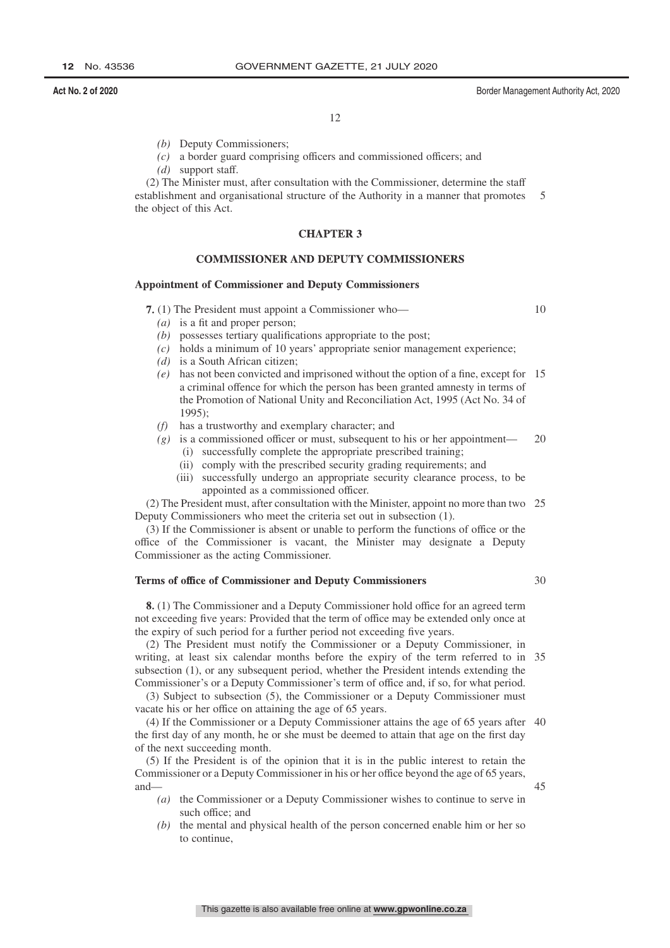- *(b)* Deputy Commissioners;
- *(c)* a border guard comprising officers and commissioned officers; and
- *(d)* support staff.

(2) The Minister must, after consultation with the Commissioner, determine the staff establishment and organisational structure of the Authority in a manner that promotes the object of this Act. 5

#### **CHAPTER 3**

#### **COMMISSIONER AND DEPUTY COMMISSIONERS**

### **Appointment of Commissioner and Deputy Commissioners** (1) The President must appoint a Commissioner who—

10

- *(a)* is a fit and proper person;
- *(b)* possesses tertiary qualifications appropriate to the post;
- *(c)* holds a minimum of 10 years' appropriate senior management experience;
- *(d)* is a South African citizen;
- *(e)* has not been convicted and imprisoned without the option of a fine, except for 15 a criminal offence for which the person has been granted amnesty in terms of the Promotion of National Unity and Reconciliation Act, 1995 (Act No. 34 of 1995);
- *(f)* has a trustworthy and exemplary character; and
- *(g)* is a commissioned officer or must, subsequent to his or her appointment— 20
	- (i) successfully complete the appropriate prescribed training;
	- (ii) comply with the prescribed security grading requirements; and
	- (iii) successfully undergo an appropriate security clearance process, to be appointed as a commissioned officer.

(2) The President must, after consultation with the Minister, appoint no more than two 25 Deputy Commissioners who meet the criteria set out in subsection (1).

(3) If the Commissioner is absent or unable to perform the functions of office or the office of the Commissioner is vacant, the Minister may designate a Deputy Commissioner as the acting Commissioner.

#### **Terms of office of Commissioner and Deputy Commissioners**

(1) The Commissioner and a Deputy Commissioner hold office for an agreed term not exceeding five years: Provided that the term of office may be extended only once at the expiry of such period for a further period not exceeding five years.

(2) The President must notify the Commissioner or a Deputy Commissioner, in writing, at least six calendar months before the expiry of the term referred to in 35 subsection (1), or any subsequent period, whether the President intends extending the Commissioner's or a Deputy Commissioner's term of office and, if so, for what period.

(3) Subject to subsection (5), the Commissioner or a Deputy Commissioner must vacate his or her office on attaining the age of 65 years.

(4) If the Commissioner or a Deputy Commissioner attains the age of 65 years after 40 the first day of any month, he or she must be deemed to attain that age on the first day of the next succeeding month.

(5) If the President is of the opinion that it is in the public interest to retain the Commissioner or a Deputy Commissioner in his or her office beyond the age of 65 years, and—

- *(a)* the Commissioner or a Deputy Commissioner wishes to continue to serve in such office; and
- *(b)* the mental and physical health of the person concerned enable him or her so to continue,

45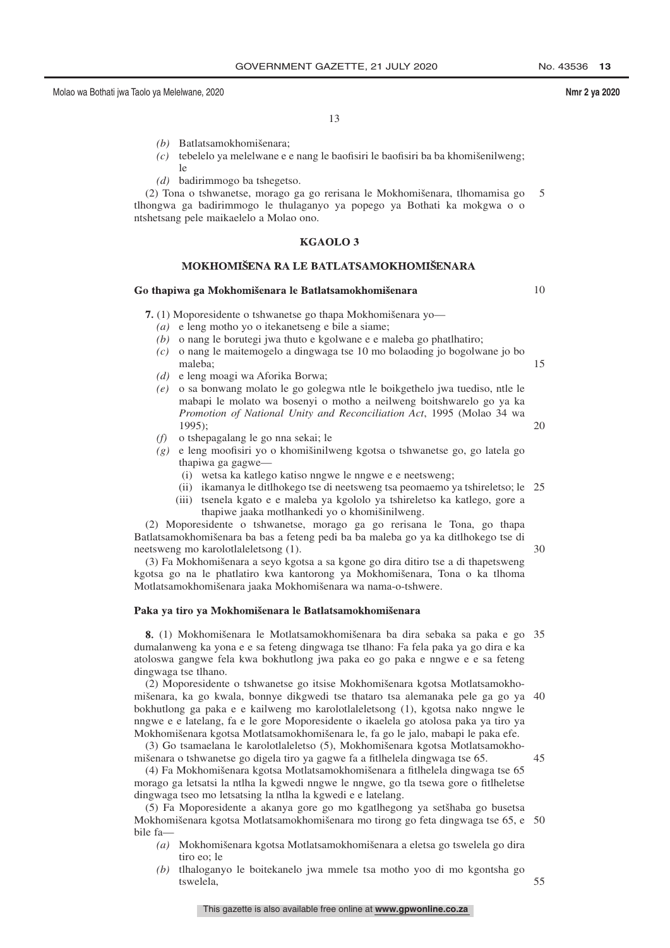- *(b)* Batlatsamokhomišenara:
- $(c)$  tebelelo ya melelwane e e nang le baofisiri le baofisiri ba ba khomišenilweng; le
- *(d)* badirimmogo ba tshegetso.

 $(2)$  Tona o tshwanetse, morago ga go rerisana le Mokhomišenara, tlhomamisa go tlhongwa ga badirimmogo le thulaganyo ya popego ya Bothati ka mokgwa o o ntshetsang pele maikaelelo a Molao ono. 5

#### KGAOLO<sub>3</sub>

#### MOKHOMIŠENA RA LE BATLATSAMOKHOMIŠENARA

#### Go thapiwa ga Mokhomišenara le Batlatsamokhomišenara

10

20

- 7. (1) Moporesidente o tshwanetse go thapa Mokhomišenara yo—
	- *(a)* e leng motho yo o itekanetseng e bile a siame;
	- *(b)* o nang le borutegi jwa thuto e kgolwane e e maleba go phatlhatiro;
	- *(c)* o nang le maitemogelo a dingwaga tse 10 mo bolaoding jo bogolwane jo bo maleba; 15
	- *(d)* e leng moagi wa Aforika Borwa;
	- *(e)* o sa bonwang molato le go golegwa ntle le boikgethelo jwa tuediso, ntle le mabapi le molato wa bosenyi o motho a neilweng boitshwarelo go ya ka *Promotion of National Unity and Reconciliation Act*, 1995 (Molao 34 wa 1995);
	- *(f)* o tshepagalang le go nna sekai; le
	- (g) e leng moofisiri yo o khomišinilweng kgotsa o tshwanetse go, go latela go thapiwa ga gagwe—
		- (i) wetsa ka katlego katiso nngwe le nngwe e e neetsweng;
		- (ii) ikamanya le ditlhokego tse di neetsweng tsa peomaemo ya tshireletso; le 25 (iii) tsenela kgato e e maleba ya kgololo ya tshireletso ka katlego, gore a
			- thapiwe jaaka motlhankedi yo o khomišinilweng.

(2) Moporesidente o tshwanetse, morago ga go rerisana le Tona, go thapa Batlatsamokhomišenara ba bas a feteng pedi ba ba maleba go ya ka ditlhokego tse di neetsweng mo karolotlaleletsong (1). 30

(3) Fa Mokhomišenara a seyo kgotsa a sa kgone go dira ditiro tse a di thapetsweng kgotsa go na le phatlatiro kwa kantorong ya Mokhomišenara, Tona o ka tlhoma Motlatsamokhomišenara jaaka Mokhomišenara wa nama-o-tshwere.

#### Paka ya tiro ya Mokhomišenara le Batlatsamokhomišenara

(1) Mokhomišenara le Motlatsamokhomišenara ba dira sebaka sa paka e go 35 dumalanweng ka yona e e sa feteng dingwaga tse tlhano: Fa fela paka ya go dira e ka atoloswa gangwe fela kwa bokhutlong jwa paka eo go paka e nngwe e e sa feteng dingwaga tse tlhano.

(2) Moporesidente o tshwanetse go itsise Mokhomišenara kgotsa Motlatsamokhomišenara, ka go kwala, bonnye dikgwedi tse thataro tsa alemanaka pele ga go ya 40 bokhutlong ga paka e e kailweng mo karolotlaleletsong (1), kgotsa nako nngwe le nngwe e e latelang, fa e le gore Moporesidente o ikaelela go atolosa paka ya tiro ya Mokhomišenara kgotsa Motlatsamokhomišenara le, fa go le jalo, mabapi le paka efe.

(3) Go tsamaelana le karolotlaleletso (5), Mokhomišenara kgotsa Motlatsamokhomišenara o tshwanetse go digela tiro ya gagwe fa a fitlhelela dingwaga tse 65.

(4) Fa Mokhomišenara kgotsa Motlatsamokhomišenara a fitlhelela dingwaga tse 65 morago ga letsatsi la ntlha la kgwedi nngwe le nngwe, go tla tsewa gore o fitlheletse dingwaga tseo mo letsatsing la ntlha la kgwedi e e latelang.

(5) Fa Moporesidente a akanya gore go mo kgatlhegong ya setšhaba go busetsa Mokhomišenara kgotsa Motlatsamokhomišenara mo tirong go feta dingwaga tse 65, e 50 bile fa—

- *(a)* Mokhomišenara kgotsa Motlatsamokhomišenara a eletsa go tswelela go dira tiro eo; le
- *(b)* tlhaloganyo le boitekanelo jwa mmele tsa motho yoo di mo kgontsha go tswelela, 55

This gazette is also available free online at **www.gpwonline.co.za**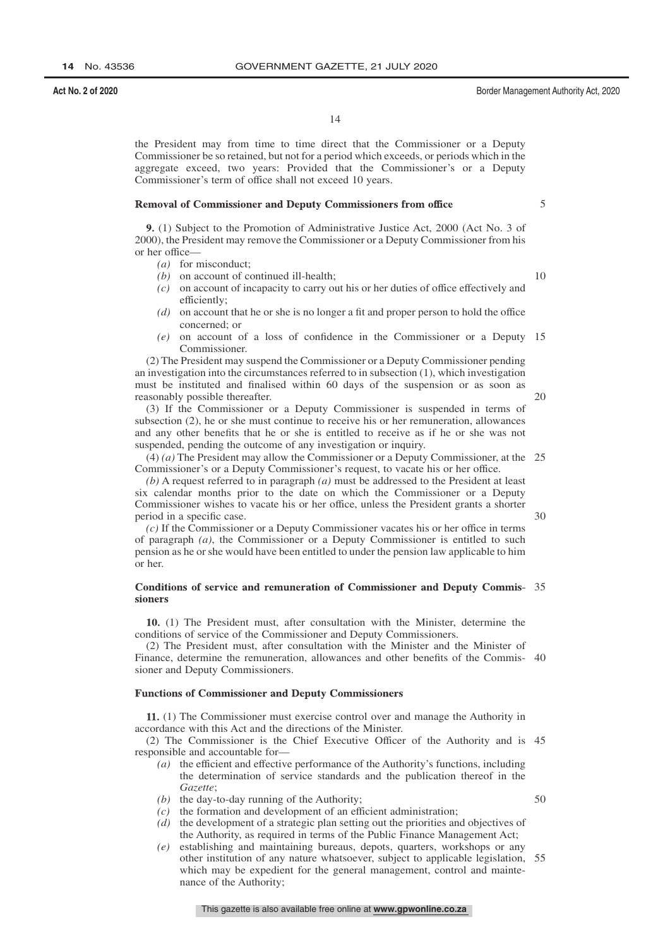5

10

20

50

14

the President may from time to time direct that the Commissioner or a Deputy Commissioner be so retained, but not for a period which exceeds, or periods which in the aggregate exceed, two years: Provided that the Commissioner's or a Deputy Commissioner's term of office shall not exceed 10 years.

#### **Removal of Commissioner and Deputy Commissioners from office**

(1) Subject to the Promotion of Administrative Justice Act, 2000 (Act No. 3 of 2000), the President may remove the Commissioner or a Deputy Commissioner from his or her office—

- *(a)* for misconduct;
- *(b)* on account of continued ill-health;
- *(c)* on account of incapacity to carry out his or her duties of office effectively and efficiently;
- *(d)* on account that he or she is no longer a fit and proper person to hold the office concerned; or
- *(e)* on account of a loss of confidence in the Commissioner or a Deputy 15 Commissioner.

(2) The President may suspend the Commissioner or a Deputy Commissioner pending an investigation into the circumstances referred to in subsection (1), which investigation must be instituted and finalised within 60 days of the suspension or as soon as reasonably possible thereafter.

(3) If the Commissioner or a Deputy Commissioner is suspended in terms of subsection (2), he or she must continue to receive his or her remuneration, allowances and any other benefits that he or she is entitled to receive as if he or she was not suspended, pending the outcome of any investigation or inquiry.

(4) *(a)* The President may allow the Commissioner or a Deputy Commissioner, at the 25 Commissioner's or a Deputy Commissioner's request, to vacate his or her office.

*(b)* A request referred to in paragraph *(a)* must be addressed to the President at least six calendar months prior to the date on which the Commissioner or a Deputy Commissioner wishes to vacate his or her office, unless the President grants a shorter period in a specific case. 30

*(c)* If the Commissioner or a Deputy Commissioner vacates his or her office in terms of paragraph *(a)*, the Commissioner or a Deputy Commissioner is entitled to such pension as he or she would have been entitled to under the pension law applicable to him or her.

#### Conditions of service and remuneration of Commissioner and Deputy Commis- 35 sioners

(1) The President must, after consultation with the Minister, determine the conditions of service of the Commissioner and Deputy Commissioners.

(2) The President must, after consultation with the Minister and the Minister of Finance, determine the remuneration, allowances and other benefits of the Commis-40 sioner and Deputy Commissioners.

#### **Functions of Commissioner and Deputy Commissioners**

(1) The Commissioner must exercise control over and manage the Authority in accordance with this Act and the directions of the Minister.

(2) The Commissioner is the Chief Executive Officer of the Authority and is 45 responsible and accountable for—

- *(a)* the efficient and effective performance of the Authority's functions, including the determination of service standards and the publication thereof in the *Gazette*;
- *(b)* the day-to-day running of the Authority;
- *(c)* the formation and development of an efficient administration;
- *(d)* the development of a strategic plan setting out the priorities and objectives of the Authority, as required in terms of the Public Finance Management Act;
- *(e)* establishing and maintaining bureaus, depots, quarters, workshops or any other institution of any nature whatsoever, subject to applicable legislation, 55which may be expedient for the general management, control and maintenance of the Authority;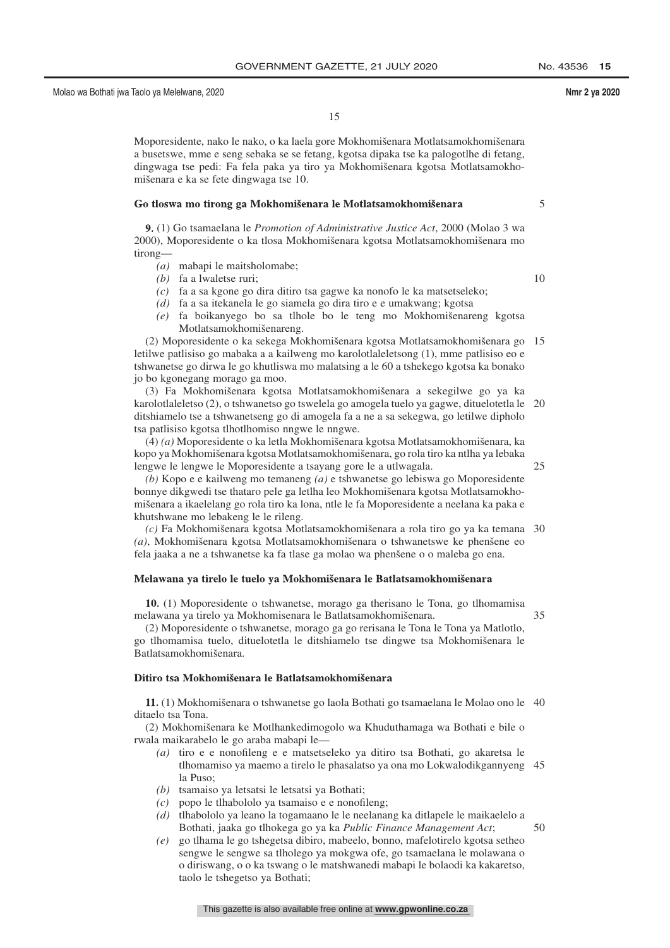10

15

Moporesidente, nako le nako, o ka laela gore Mokhomišenara Motlatsamokhomišenara a busetswe, mme e seng sebaka se se fetang, kgotsa dipaka tse ka palogotlhe di fetang, dingwaga tse pedi: Fa fela paka ya tiro ya Mokhomišenara kgotsa Motlatsamokhomišenara e ka se fete dingwaga tse 10.

#### Go tloswa mo tirong ga Mokhomišenara le Motlatsamokhomišenara

(1) Go tsamaelana le *Promotion of Administrative Justice Act*, 2000 (Molao 3 wa 2000), Moporesidente o ka tlosa Mokhomišenara kgotsa Motlatsamokhomišenara mo tirong—

- *(a)* mabapi le maitsholomabe;
- *(b)* fa a lwaletse ruri;
- *(c)* fa a sa kgone go dira ditiro tsa gagwe ka nonofo le ka matsetseleko;
- *(d)* fa a sa itekanela le go siamela go dira tiro e e umakwang; kgotsa
- *(e)* fa boikanyego bo sa tlhole bo le teng mo Mokhomišenareng kgotsa Motlatsamokhomišenareng.

(2) Moporesidente o ka sekega Mokhomišenara kgotsa Motlatsamokhomišenara go 15 letilwe patlisiso go mabaka a a kailweng mo karolotlaleletsong (1), mme patlisiso eo e tshwanetse go dirwa le go khutliswa mo malatsing a le 60 a tshekego kgotsa ka bonako jo bo kgonegang morago ga moo.

(3) Fa Mokhomišenara kgotsa Motlatsamokhomišenara a sekegilwe go ya ka karolotlaleletso (2), o tshwanetso go tswelela go amogela tuelo ya gagwe, dituelotetla le ditshiamelo tse a tshwanetseng go di amogela fa a ne a sa sekegwa, go letilwe dipholo tsa patlisiso kgotsa tlhotlhomiso nngwe le nngwe. 20

(4) *(a)* Moporesidente o ka letla Mokhomišenara kgotsa Motlatsamokhomišenara, ka kopo ya Mokhomišenara kgotsa Motlatsamokhomišenara, go rola tiro ka ntlha ya lebaka lengwe le lengwe le Moporesidente a tsayang gore le a utlwagala.

*(b)* Kopo e e kailweng mo temaneng *(a)* e tshwanetse go lebiswa go Moporesidente bonnye dikgwedi tse thataro pele ga letlha leo Mokhomišenara kgotsa Motlatsamokhomišenara a ikaelelang go rola tiro ka lona, ntle le fa Moporesidente a neelana ka paka e khutshwane mo lebakeng le le rileng.

(c) Fa Mokhomišenara kgotsa Motlatsamokhomišenara a rola tiro go ya ka temana 30 (a), Mokhomišenara kgotsa Motlatsamokhomišenara o tshwanetswe ke phenšene eo fela jaaka a ne a tshwanetse ka fa tlase ga molao wa phenšene o o maleba go ena.

#### Melawana ya tirelo le tuelo ya Mokhomišenara le Batlatsamokhomišenara

(1) Moporesidente o tshwanetse, morago ga therisano le Tona, go tlhomamisa melawana ya tirelo ya Mokhomisenara le Batlatsamokhomišenara.

35

25

(2) Moporesidente o tshwanetse, morago ga go rerisana le Tona le Tona ya Matlotlo, go tlhomamisa tuelo, dituelotetla le ditshiamelo tse dingwe tsa Mokhomišenara le Batlatsamokhomišenara.

#### Ditiro tsa Mokhomišenara le Batlatsamokhomišenara

(1) Mokhomišenara o tshwanetse go laola Bothati go tsamaelana le Molao ono le 40 ditaelo tsa Tona.

(2) Mokhomišenara ke Motlhankedimogolo wa Khuduthamaga wa Bothati e bile o rwala maikarabelo le go araba mabapi le—

- *(a)* tiro e e nonofileng e e matsetseleko ya ditiro tsa Bothati, go akaretsa le tlhomamiso ya maemo a tirelo le phasalatso ya ona mo Lokwalodikgannyeng 45 la Puso;
- *(b)* tsamaiso ya letsatsi le letsatsi ya Bothati;
- *(c)* popo le tlhabololo ya tsamaiso e e nonofileng;
- *(d)* tlhabololo ya leano la togamaano le le neelanang ka ditlapele le maikaelelo a Bothati, jaaka go tlhokega go ya ka *Public Finance Management Act*; 50
- *(e)* go tlhama le go tshegetsa dibiro, mabeelo, bonno, mafelotirelo kgotsa setheo sengwe le sengwe sa tlholego ya mokgwa ofe, go tsamaelana le molawana o o diriswang, o o ka tswang o le matshwanedi mabapi le bolaodi ka kakaretso, taolo le tshegetso ya Bothati;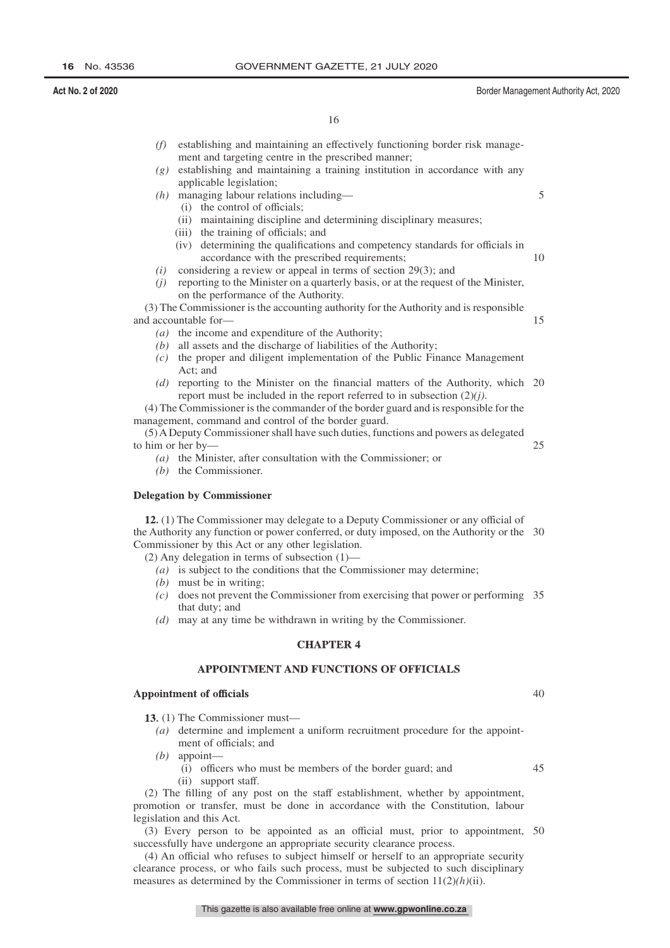10

15

16

- *(f)* establishing and maintaining an effectively functioning border risk management and targeting centre in the prescribed manner;
- *(g)* establishing and maintaining a training institution in accordance with any applicable legislation;
- *(h)* managing labour relations including—
	- (i) the control of officials;
	- (ii) maintaining discipline and determining disciplinary measures;
	- (iii) the training of officials; and
	- (iv) determining the qualifications and competency standards for officials in accordance with the prescribed requirements;
- *(i)* considering a review or appeal in terms of section 29(3); and
- *(j)* reporting to the Minister on a quarterly basis, or at the request of the Minister, on the performance of the Authority.

(3) The Commissioner is the accounting authority for the Authority and is responsible and accountable for—

- *(a)* the income and expenditure of the Authority;
- *(b)* all assets and the discharge of liabilities of the Authority;
- *(c)* the proper and diligent implementation of the Public Finance Management Act; and
- *(d)* reporting to the Minister on the financial matters of the Authority, which 20 report must be included in the report referred to in subsection (2)*(j)*.

(4) The Commissioner is the commander of the border guard and is responsible for the management, command and control of the border guard.

(5) A Deputy Commissioner shall have such duties, functions and powers as delegated to him or her by— 25

- *(a)* the Minister, after consultation with the Commissioner; or
- *(b)* the Commissioner.

#### **Delegation by Commissioner**

(1) The Commissioner may delegate to a Deputy Commissioner or any official of the Authority any function or power conferred, or duty imposed, on the Authority or the 30 Commissioner by this Act or any other legislation.

(2) Any delegation in terms of subsection (1)—

- *(a)* is subject to the conditions that the Commissioner may determine;
- *(b)* must be in writing;
- *(c)* does not prevent the Commissioner from exercising that power or performing 35 that duty; and
- *(d)* may at any time be withdrawn in writing by the Commissioner.

#### **CHAPTER 4**

#### APPOINTMENT AND FUNCTIONS OF OFFICIALS

#### **Appointment of officials**

40

45

- 13. (1) The Commissioner must—
	- *(a)* determine and implement a uniform recruitment procedure for the appointment of officials; and
	- *(b)* appoint—
		- (i) officers who must be members of the border guard; and
		- (ii) support staff.

(2) The filling of any post on the staff establishment, whether by appointment, promotion or transfer, must be done in accordance with the Constitution, labour legislation and this Act.

(3) Every person to be appointed as an official must, prior to appointment, 50successfully have undergone an appropriate security clearance process.

(4) An official who refuses to subject himself or herself to an appropriate security clearance process, or who fails such process, must be subjected to such disciplinary measures as determined by the Commissioner in terms of section 11(2)*(h)*(ii).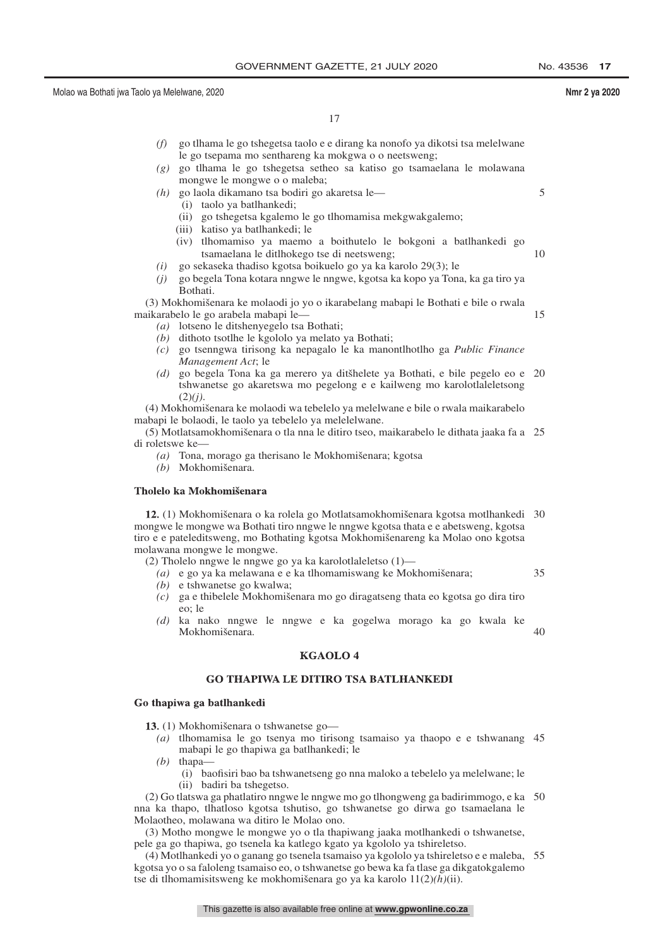- *(g)* go tlhama le go tshegetsa setheo sa katiso go tsamaelana le molawana mongwe le mongwe o o maleba;
- *(h)* go laola dikamano tsa bodiri go akaretsa le—
	- (i) taolo ya batlhankedi;
	- (ii) go tshegetsa kgalemo le go tlhomamisa mekgwakgalemo;
	- (iii) katiso ya batlhankedi; le
	- (iv) tlhomamiso ya maemo a boithutelo le bokgoni a batlhankedi go tsamaelana le ditlhokego tse di neetsweng; 10
- *(i)* go sekaseka thadiso kgotsa boikuelo go ya ka karolo 29(3); le
- *(j)* go begela Tona kotara nngwe le nngwe, kgotsa ka kopo ya Tona, ka ga tiro ya Bothati.

(3) Mokhomišenara ke molaodi jo yo o ikarabelang mabapi le Bothati e bile o rwala maikarabelo le go arabela mabapi le— 15

*(a)* lotseno le ditshenyegelo tsa Bothati;

- *(b)* dithoto tsotlhe le kgololo ya melato ya Bothati;
- *(c)* go tsenngwa tirisong ka nepagalo le ka manontlhotlho ga *Public Finance Management Act*; le
- (d) go begela Tona ka ga merero ya ditšhelete ya Bothati, e bile pegelo eo e 20 tshwanetse go akaretswa mo pegelong e e kailweng mo karolotlaleletsong  $(2)(i)$ .

(4) Mokhomišenara ke molaodi wa tebelelo ya melelwane e bile o rwala maikarabelo mabapi le bolaodi, le taolo ya tebelelo ya melelelwane.

(5) Motlatsamokhomišenara o tla nna le ditiro tseo, maikarabelo le dithata jaaka fa a 25 di roletswe ke—

*(a)* Tona, morago ga therisano le Mokhomišenara; kgotsa

(b) Mokhomišenara.

#### Tholelo ka Mokhomišenara

(1) Mokhomišenara o ka rolela go Motlatsamokhomišenara kgotsa motlhankedi 30 mongwe le mongwe wa Bothati tiro nngwe le nngwe kgotsa thata e e abetsweng, kgotsa tiro e e pateleditsweng, mo Bothating kgotsa Mokhomišenareng ka Molao ono kgotsa molawana mongwe le mongwe.

(2) Tholelo nngwe le nngwe go ya ka karolotlaleletso (1)—

- *(a)* e go ya ka melawana e e ka tlhomamiswang ke Mokhomišenara;
- *(b)* e tshwanetse go kwalwa;
- *(c)* ga e thibelele Mokhomišenara mo go diragatseng thata eo kgotsa go dira tiro eo; le
- *(d)* ka nako nngwe le nngwe e ka gogelwa morago ka go kwala ke Mokhomišenara. 40

#### **KGAOLO4**

#### **GO THAPIWA LE DITIRO TSA BATLHANKEDI**

#### Go thapiwa ga batlhankedi

13. (1) Mokhomišenara o tshwanetse go—

- *(a)* tlhomamisa le go tsenya mo tirisong tsamaiso ya thaopo e e tshwanang 45 mabapi le go thapiwa ga batlhankedi; le
- *(b)* thapa—
	- (i) baofisiri bao ba tshwanetseng go nna maloko a tebelelo ya melelwane; le
	- (ii) badiri ba tshegetso.

(2) Go tlatswa ga phatlatiro nngwe le nngwe mo go tlhongweng ga badirimmogo, e ka 50 nna ka thapo, tlhatloso kgotsa tshutiso, go tshwanetse go dirwa go tsamaelana le Molaotheo, molawana wa ditiro le Molao ono.

(3) Motho mongwe le mongwe yo o tla thapiwang jaaka motlhankedi o tshwanetse, pele ga go thapiwa, go tsenela ka katlego kgato ya kgololo ya tshireletso.

(4) Motlhankedi yo o ganang go tsenela tsamaiso ya kgololo ya tshireletso e e maleba, 55kgotsa yo o sa faloleng tsamaiso eo, o tshwanetse go bewa ka fa tlase ga dikgatokgalemo tse di tlhomamisitsweng ke mokhomišenara go ya ka karolo 11(2)(h)(ii).

17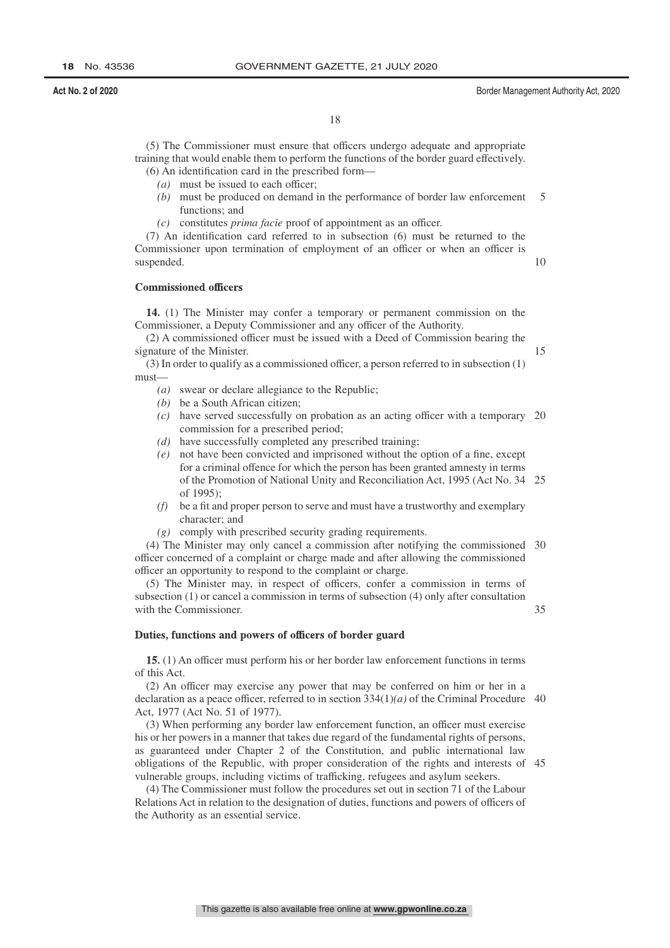35

18

(5) The Commissioner must ensure that officers undergo adequate and appropriate training that would enable them to perform the functions of the border guard effectively. (6) An identification card in the prescribed form—

- *(a)* must be issued to each officer;
- *(b)* must be produced on demand in the performance of border law enforcement functions; and 5
- *(c)* constitutes *prima facie* proof of appointment as an officer.

(7) An identification card referred to in subsection (6) must be returned to the Commissioner upon termination of employment of an officer or when an officer is suspended.

#### **Commissioned officers**

(1) The Minister may confer a temporary or permanent commission on the Commissioner, a Deputy Commissioner and any officer of the Authority.

(2) A commissioned officer must be issued with a Deed of Commission bearing the signature of the Minister. 15

(3) In order to qualify as a commissioned officer, a person referred to in subsection (1) must—

- *(a)* swear or declare allegiance to the Republic;
- *(b)* be a South African citizen;
- *(c)* have served successfully on probation as an acting officer with a temporary 20 commission for a prescribed period;
- *(d)* have successfully completed any prescribed training;
- *(e)* not have been convicted and imprisoned without the option of a fine, except for a criminal offence for which the person has been granted amnesty in terms of the Promotion of National Unity and Reconciliation Act, 1995 (Act No. 34 25 of 1995);
- *(f)* be a fit and proper person to serve and must have a trustworthy and exemplary character; and
- *(g)* comply with prescribed security grading requirements.

(4) The Minister may only cancel a commission after notifying the commissioned 30 officer concerned of a complaint or charge made and after allowing the commissioned officer an opportunity to respond to the complaint or charge.

(5) The Minister may, in respect of officers, confer a commission in terms of subsection (1) or cancel a commission in terms of subsection (4) only after consultation with the Commissioner.

#### Duties, functions and powers of officers of border guard

(1) An officer must perform his or her border law enforcement functions in terms of this Act.

(2) An officer may exercise any power that may be conferred on him or her in a declaration as a peace officer, referred to in section  $334(1)(a)$  of the Criminal Procedure 40 Act, 1977 (Act No. 51 of 1977).

(3) When performing any border law enforcement function, an officer must exercise his or her powers in a manner that takes due regard of the fundamental rights of persons, as guaranteed under Chapter 2 of the Constitution, and public international law obligations of the Republic, with proper consideration of the rights and interests of 45vulnerable groups, including victims of trafficking, refugees and asylum seekers.

(4) The Commissioner must follow the procedures set out in section 71 of the Labour Relations Act in relation to the designation of duties, functions and powers of officers of the Authority as an essential service.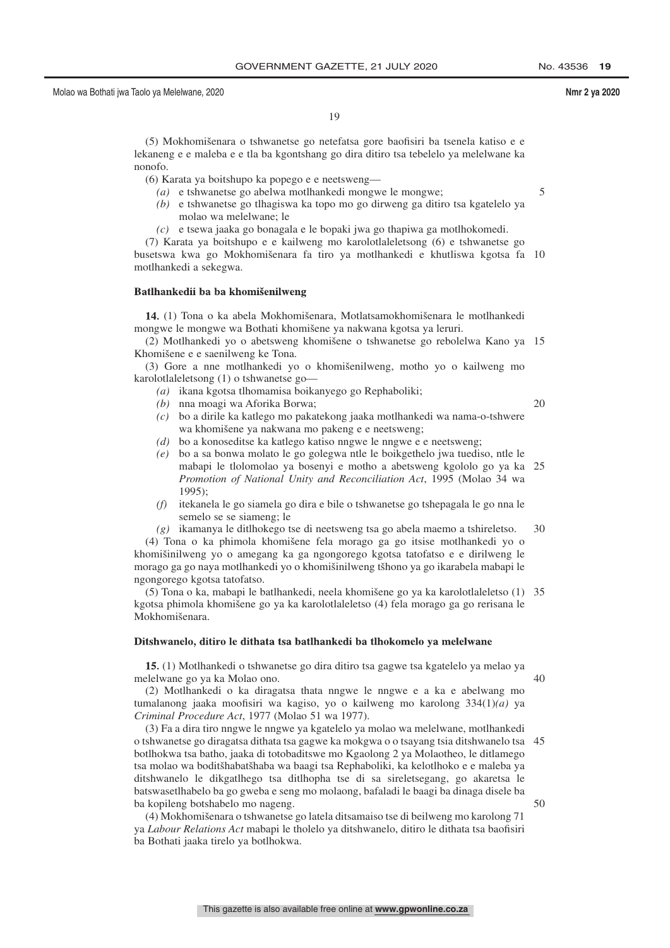(5) Mokhomišenara o tshwanetse go netefatsa gore baofisiri ba tsenela katiso e e lekaneng e e maleba e e tla ba kgontshang go dira ditiro tsa tebelelo ya melelwane ka nonofo.

(6) Karata ya boitshupo ka popego e e neetsweng—

*(a)* e tshwanetse go abelwa motlhankedi mongwe le mongwe;

5

20

- *(b)* e tshwanetse go tlhagiswa ka topo mo go dirweng ga ditiro tsa kgatelelo ya molao wa melelwane; le
- *(c)* e tsewa jaaka go bonagala e le bopaki jwa go thapiwa ga motlhokomedi.

(7) Karata ya boitshupo e e kailweng mo karolotlaleletsong (6) e tshwanetse go busetswa kwa go Mokhomišenara fa tiro ya motlhankedi e khutliswa kgotsa fa 10 motlhankedi a sekegwa.

#### Batlhankedii ba ba khomišenilweng

14. (1) Tona o ka abela Mokhomišenara, Motlatsamokhomišenara le motlhankedi mongwe le mongwe wa Bothati khomišene ya nakwana kgotsa ya leruri.

(2) Motlhankedi yo o abetsweng khomišene o tshwanetse go rebolelwa Kano ya 15 Khomišene e e saenilweng ke Tona.

 $(3)$  Gore a nne motlhankedi yo o khomišenilweng, motho yo o kailweng mo karolotlaleletsong (1) o tshwanetse go—

- *(a)* ikana kgotsa tlhomamisa boikanyego go Rephaboliki;
- *(b)* nna moagi wa Aforika Borwa;
- *(c)* bo a dirile ka katlego mo pakatekong jaaka motlhankedi wa nama-o-tshwere wa khomišene ya nakwana mo pakeng e e neetsweng;
- *(d)* bo a konoseditse ka katlego katiso nngwe le nngwe e e neetsweng;
- *(e)* bo a sa bonwa molato le go golegwa ntle le boikgethelo jwa tuediso, ntle le mabapi le tlolomolao ya bosenyi e motho a abetsweng kgololo go ya ka *Promotion of National Unity and Reconciliation Act*, 1995 (Molao 34 wa 1995); 25
- *(f)* itekanela le go siamela go dira e bile o tshwanetse go tshepagala le go nna le semelo se se siameng; le
- *(g)* ikamanya le ditlhokego tse di neetsweng tsa go abela maemo a tshireletso.  $30$

(4) Tona o ka phimola khomišene fela morago ga go itsise motlhankedi yo o khomišinilweng yo o amegang ka ga ngongorego kgotsa tatofatso e e dirilweng le morago ga go naya motlhankedi yo o khomišinilweng tšhono ya go ikarabela mabapi le ngongorego kgotsa tatofatso.

 $(5)$  Tona o ka, mabapi le batlhankedi, neela khomišene go ya ka karolotlaleletso  $(1)$  35 kgotsa phimola khomišene go ya ka karolotlaleletso (4) fela morago ga go rerisana le Mokhomišenara.

#### Ditshwanelo, ditiro le dithata tsa batlhankedi ba tlhokomelo va melelwane

(1) Motlhankedi o tshwanetse go dira ditiro tsa gagwe tsa kgatelelo ya melao ya melelwane go ya ka Molao ono.

40

(2) Motlhankedi o ka diragatsa thata nngwe le nngwe e a ka e abelwang mo tumalanong jaaka moofisiri wa kagiso, yo o kailweng mo karolong 334(1)*(a)* ya *Criminal Procedure Act*, 1977 (Molao 51 wa 1977).

(3) Fa a dira tiro nngwe le nngwe ya kgatelelo ya molao wa melelwane, motlhankedi o tshwanetse go diragatsa dithata tsa gagwe ka mokgwa o o tsayang tsia ditshwanelo tsa 45 botlhokwa tsa batho, jaaka di totobaditswe mo Kgaolong 2 ya Molaotheo, le ditlamego tsa molao wa boditšhabatšhaba wa baagi tsa Rephaboliki, ka kelotlhoko e e maleba ya ditshwanelo le dikgatlhego tsa ditlhopha tse di sa sireletsegang, go akaretsa le batswasetlhabelo ba go gweba e seng mo molaong, bafaladi le baagi ba dinaga disele ba ba kopileng botshabelo mo nageng. 50

(4) Mokhomišenara o tshwanetse go latela ditsamaiso tse di beilweng mo karolong 71 ya *Labour Relations Act* mabapi le tholelo ya ditshwanelo, ditiro le dithata tsa baofisiri ba Bothati jaaka tirelo ya botlhokwa.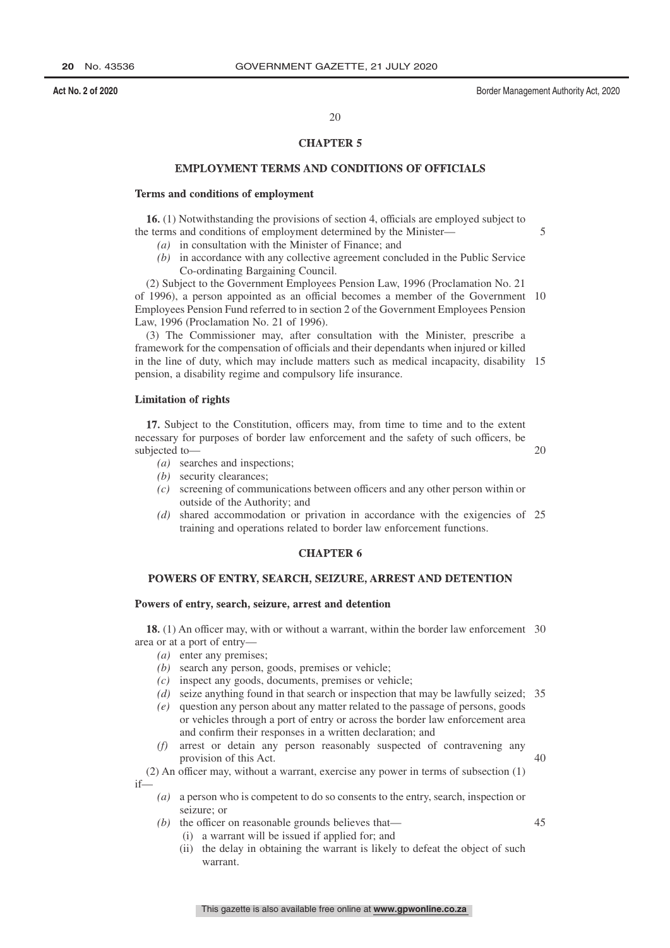5

#### 20

#### **CHAPTER 5**

#### **EMPLOYMENT TERMS AND CONDITIONS OF OFFICIALS**

#### Terms and conditions of employment

(1) Notwithstanding the provisions of section 4, officials are employed subject to the terms and conditions of employment determined by the Minister—

- *(a)* in consultation with the Minister of Finance; and
- *(b)* in accordance with any collective agreement concluded in the Public Service Co-ordinating Bargaining Council.

(2) Subject to the Government Employees Pension Law, 1996 (Proclamation No. 21 of 1996), a person appointed as an official becomes a member of the Government 10 Employees Pension Fund referred to in section 2 of the Government Employees Pension Law, 1996 (Proclamation No. 21 of 1996).

(3) The Commissioner may, after consultation with the Minister, prescribe a framework for the compensation of officials and their dependants when injured or killed in the line of duty, which may include matters such as medical incapacity, disability 15 pension, a disability regime and compulsory life insurance.

#### **Limitation of rights**

17. Subject to the Constitution, officers may, from time to time and to the extent necessary for purposes of border law enforcement and the safety of such officers, be subjected to—

- *(a)* searches and inspections;
- *(b)* security clearances;
- *(c)* screening of communications between officers and any other person within or outside of the Authority; and
- *(d)* shared accommodation or privation in accordance with the exigencies of 25 training and operations related to border law enforcement functions.

#### **CHAPTER 6**

#### POWERS OF ENTRY, SEARCH, SEIZURE, ARREST AND DETENTION

#### Powers of entry, search, seizure, arrest and detention

(1) An officer may, with or without a warrant, within the border law enforcement 30 area or at a port of entry—

- *(a)* enter any premises;
- *(b)* search any person, goods, premises or vehicle;
- *(c)* inspect any goods, documents, premises or vehicle;
- *(d)* seize anything found in that search or inspection that may be lawfully seized; 35
- *(e)* question any person about any matter related to the passage of persons, goods or vehicles through a port of entry or across the border law enforcement area and confirm their responses in a written declaration; and
- *(f)* arrest or detain any person reasonably suspected of contravening any provision of this Act.

(2) An officer may, without a warrant, exercise any power in terms of subsection (1) if—

- *(a)* a person who is competent to do so consents to the entry, search, inspection or seizure; or
- *(b)* the officer on reasonable grounds believes that—
	- (i) a warrant will be issued if applied for; and
	- (ii) the delay in obtaining the warrant is likely to defeat the object of such warrant.

20

40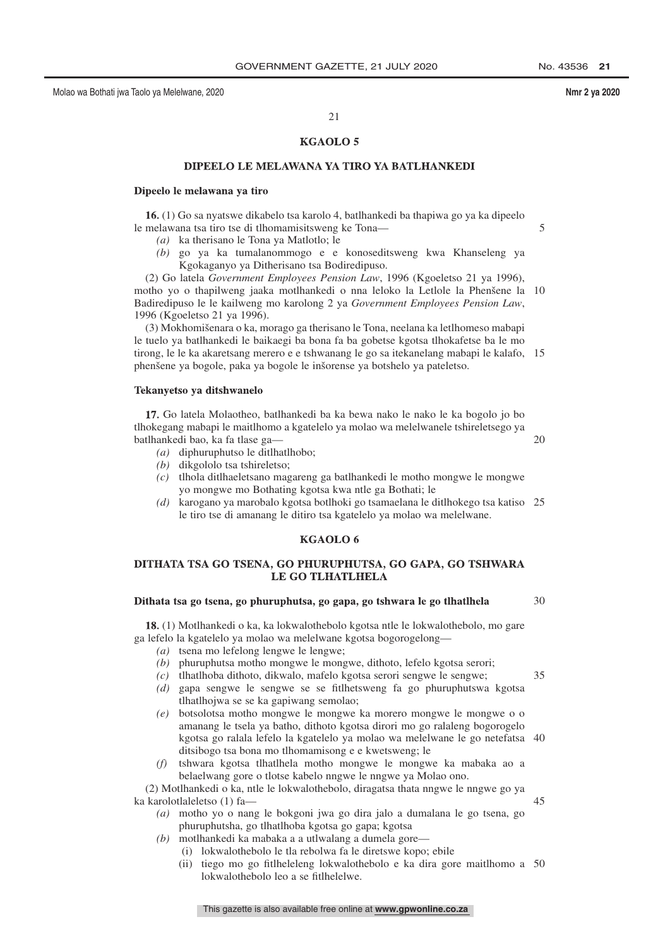5

#### $21$

#### **KGAOLO 5**

#### DIPEELO LE MELAWANA YA TIRO YA BATLHANKEDI

#### Dipeelo le melawana ya tiro

(1) Go sa nyatswe dikabelo tsa karolo 4, batlhankedi ba thapiwa go ya ka dipeelo le melawana tsa tiro tse di tlhomamisitsweng ke Tona—

- *(a)* ka therisano le Tona ya Matlotlo; le
- *(b)* go ya ka tumalanommogo e e konoseditsweng kwa Khanseleng ya Kgokaganyo ya Ditherisano tsa Bodiredipuso.

(2) Go latela *Government Employees Pension Law*, 1996 (Kgoeletso 21 ya 1996), motho yo o thapilweng jaaka motlhankedi o nna leloko la Letlole la Phenšene la 10 Badiredipuso le le kailweng mo karolong 2 ya *Government Employees Pension Law*, 1996 (Kgoeletso 21 ya 1996).

(3) Mokhomišenara o ka, morago ga therisano le Tona, neelana ka letlhomeso mabapi le tuelo ya batlhankedi le baikaegi ba bona fa ba gobetse kgotsa tlhokafetse ba le mo tirong, le le ka akaretsang merero e e tshwanang le go sa itekanelang mabapi le kalafo, 15 phenšene ya bogole, paka ya bogole le inšorense ya botshelo ya pateletso.

#### Tekanyetso ya ditshwanelo

Go latela Molaotheo, batlhankedi ba ka bewa nako le nako le ka bogolo jo bo tlhokegang mabapi le maitlhomo a kgatelelo ya molao wa melelwanele tshireletsego ya batlhankedi bao, ka fa tlase ga—

- *(a)* diphuruphutso le ditlhatlhobo;
- *(b)* dikgololo tsa tshireletso;
- *(c)* tlhola ditlhaeletsano magareng ga batlhankedi le motho mongwe le mongwe yo mongwe mo Bothating kgotsa kwa ntle ga Bothati; le
- *(d)* karogano ya marobalo kgotsa botlhoki go tsamaelana le ditlhokego tsa katiso 25 le tiro tse di amanang le ditiro tsa kgatelelo ya molao wa melelwane.

#### KGAOLO 6

#### DITHATA TSA GO TSENA, GO PHURUPHUTSA, GO GAPA, GO TSHWARA LE GO TLHATLHELA

#### Dithata tsa go tsena, go phuruphutsa, go gapa, go tshwara le go tlhatlhela

30

20

(1) Motlhankedi o ka, ka lokwalothebolo kgotsa ntle le lokwalothebolo, mo gare ga lefelo la kgatelelo ya molao wa melelwane kgotsa bogorogelong—

- *(a)* tsena mo lefelong lengwe le lengwe;
- *(b)* phuruphutsa motho mongwe le mongwe, dithoto, lefelo kgotsa serori;
- *(c)* tlhatlhoba dithoto, dikwalo, mafelo kgotsa serori sengwe le sengwe;
- *(d)* gapa sengwe le sengwe se se fitlhetsweng fa go phuruphutswa kgotsa tlhatlhojwa se se ka gapiwang semolao;
- *(e)* botsolotsa motho mongwe le mongwe ka morero mongwe le mongwe o o amanang le tsela ya batho, dithoto kgotsa dirori mo go ralaleng bogorogelo kgotsa go ralala lefelo la kgatelelo ya molao wa melelwane le go netefatsa 40 ditsibogo tsa bona mo tlhomamisong e e kwetsweng; le
- *(f)* tshwara kgotsa tlhatlhela motho mongwe le mongwe ka mabaka ao a belaelwang gore o tlotse kabelo nngwe le nngwe ya Molao ono.

(2) Motlhankedi o ka, ntle le lokwalothebolo, diragatsa thata nngwe le nngwe go ya ka karolotlaleletso (1) fa— 45

- *(a)* motho yo o nang le bokgoni jwa go dira jalo a dumalana le go tsena, go phuruphutsha, go tlhatlhoba kgotsa go gapa; kgotsa
- *(b)* motlhankedi ka mabaka a a utlwalang a dumela gore—
	- (i) lokwalothebolo le tla rebolwa fa le diretswe kopo; ebile
	- (ii) tiego mo go fitlheleleng lokwalothebolo e ka dira gore maitlhomo a 50lokwalothebolo leo a se fitlhelelwe.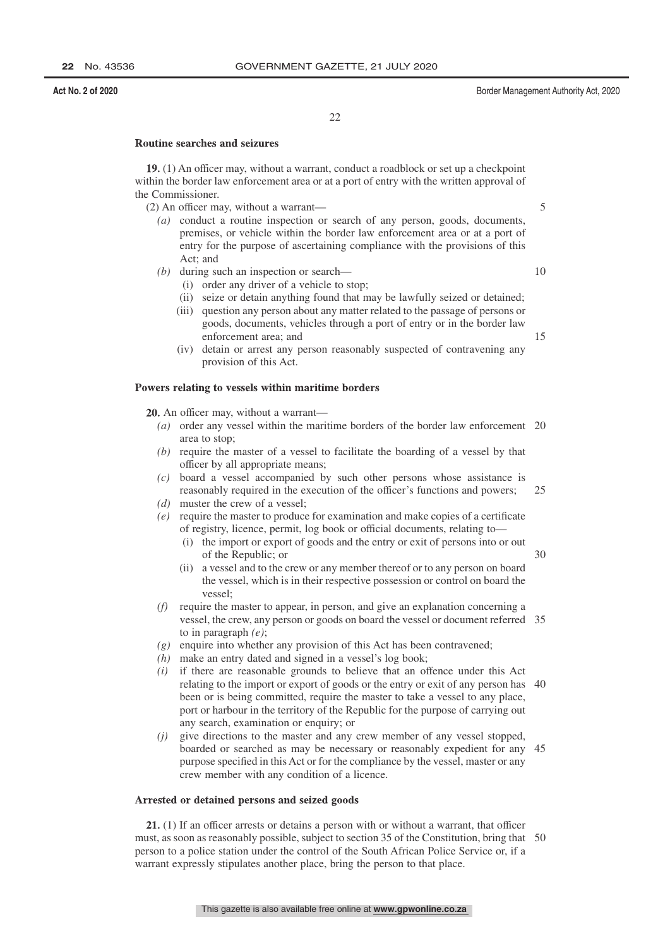22

#### Routine searches and seizures

(1) An officer may, without a warrant, conduct a roadblock or set up a checkpoint within the border law enforcement area or at a port of entry with the written approval of the Commissioner.

- (2) An officer may, without a warrant—
	- *(a)* conduct a routine inspection or search of any person, goods, documents, premises, or vehicle within the border law enforcement area or at a port of entry for the purpose of ascertaining compliance with the provisions of this Act; and
	- *(b)* during such an inspection or search—
		- (i) order any driver of a vehicle to stop;
		- (ii) seize or detain anything found that may be lawfully seized or detained;
		- (iii) question any person about any matter related to the passage of persons or goods, documents, vehicles through a port of entry or in the border law enforcement area; and
		- (iv) detain or arrest any person reasonably suspected of contravening any provision of this Act.

#### Powers relating to vessels within maritime borders

20. An officer may, without a warrant—

- *(a)* order any vessel within the maritime borders of the border law enforcement 20 area to stop;
- *(b)* require the master of a vessel to facilitate the boarding of a vessel by that officer by all appropriate means;
- *(c)* board a vessel accompanied by such other persons whose assistance is reasonably required in the execution of the officer's functions and powers; 25
- *(d)* muster the crew of a vessel;
- *(e)* require the master to produce for examination and make copies of a certificate of registry, licence, permit, log book or official documents, relating to—
	- (i) the import or export of goods and the entry or exit of persons into or out of the Republic; or
	- (ii) a vessel and to the crew or any member thereof or to any person on board the vessel, which is in their respective possession or control on board the vessel;
- *(f)* require the master to appear, in person, and give an explanation concerning a vessel, the crew, any person or goods on board the vessel or document referred 35 to in paragraph *(e)*;
- *(g)* enquire into whether any provision of this Act has been contravened;
- *(h)* make an entry dated and signed in a vessel's log book;
- *(i)* if there are reasonable grounds to believe that an offence under this Act relating to the import or export of goods or the entry or exit of any person has 40 been or is being committed, require the master to take a vessel to any place, port or harbour in the territory of the Republic for the purpose of carrying out any search, examination or enquiry; or
- *(j)* give directions to the master and any crew member of any vessel stopped, boarded or searched as may be necessary or reasonably expedient for any 45 purpose specified in this Act or for the compliance by the vessel, master or any crew member with any condition of a licence.

#### Arrested or detained persons and seized goods

21. (1) If an officer arrests or detains a person with or without a warrant, that officer must, as soon as reasonably possible, subject to section 35 of the Constitution, bring that 50person to a police station under the control of the South African Police Service or, if a warrant expressly stipulates another place, bring the person to that place.

10

15

30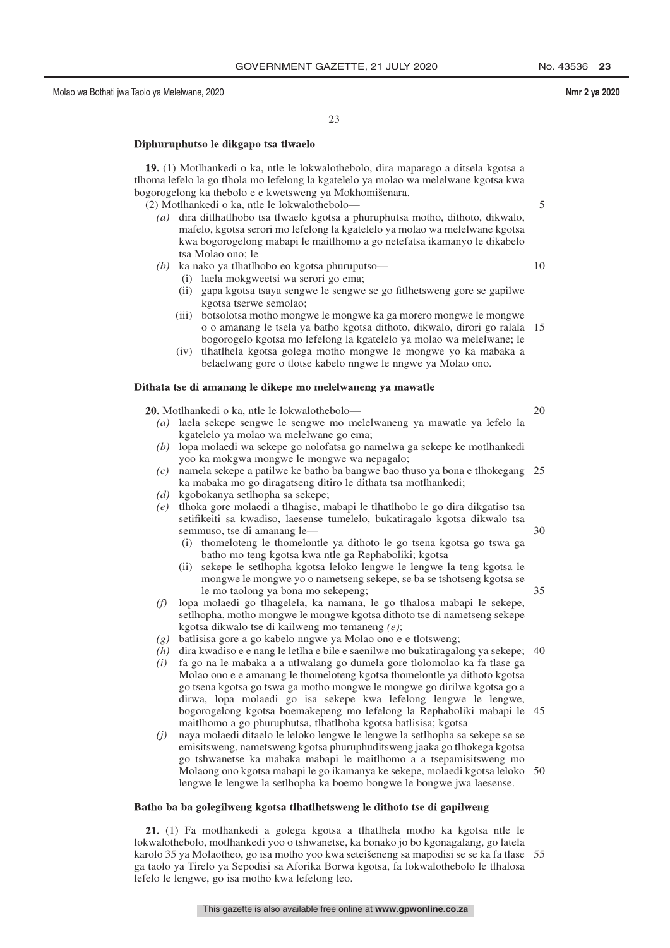10

20

30

35

23

#### Diphuruphutso le dikgapo tsa tlwaelo

(1) Motlhankedi o ka, ntle le lokwalothebolo, dira maparego a ditsela kgotsa a tlhoma lefelo la go tlhola mo lefelong la kgatelelo ya molao wa melelwane kgotsa kwa bogorogelong ka thebolo e e kwetsweng ya Mokhomišenara.

(2) Motlhankedi o ka, ntle le lokwalothebolo—

- *(a)* dira ditlhatlhobo tsa tlwaelo kgotsa a phuruphutsa motho, dithoto, dikwalo, mafelo, kgotsa serori mo lefelong la kgatelelo ya molao wa melelwane kgotsa kwa bogorogelong mabapi le maitlhomo a go netefatsa ikamanyo le dikabelo tsa Molao ono; le
- *(b)* ka nako ya tlhatlhobo eo kgotsa phuruputso—
	- (i) laela mokgweetsi wa serori go ema;
	- (ii) gapa kgotsa tsaya sengwe le sengwe se go fitlhetsweng gore se gapilwe kgotsa tserwe semolao;
	- (iii) botsolotsa motho mongwe le mongwe ka ga morero mongwe le mongwe o o amanang le tsela ya batho kgotsa dithoto, dikwalo, dirori go ralala 15 bogorogelo kgotsa mo lefelong la kgatelelo ya molao wa melelwane; le (iv) tlhatlhela kgotsa golega motho mongwe le mongwe yo ka mabaka a
	- belaelwang gore o tlotse kabelo nngwe le nngwe ya Molao ono.

#### Dithata tse di amanang le dikepe mo melelwaneng ya mawatle

20. Motlhankedi o ka, ntle le lokwalothebolo—

- *(a)* laela sekepe sengwe le sengwe mo melelwaneng ya mawatle ya lefelo la kgatelelo ya molao wa melelwane go ema;
- *(b)* lopa molaedi wa sekepe go nolofatsa go namelwa ga sekepe ke motlhankedi yoo ka mokgwa mongwe le mongwe wa nepagalo;
- *(c)* namela sekepe a patilwe ke batho ba bangwe bao thuso ya bona e tlhokegang 25 ka mabaka mo go diragatseng ditiro le dithata tsa motlhankedi;
- *(d)* kgobokanya setlhopha sa sekepe;
- *(e)* tlhoka gore molaedi a tlhagise, mabapi le tlhatlhobo le go dira dikgatiso tsa setifikeiti sa kwadiso, laesense tumelelo, bukatiragalo kgotsa dikwalo tsa semmuso, tse di amanang le—
	- (i) thomeloteng le thomelontle ya dithoto le go tsena kgotsa go tswa ga batho mo teng kgotsa kwa ntle ga Rephaboliki; kgotsa
	- (ii) sekepe le setlhopha kgotsa leloko lengwe le lengwe la teng kgotsa le mongwe le mongwe yo o nametseng sekepe, se ba se tshotseng kgotsa se le mo taolong ya bona mo sekepeng;
- *(f)* lopa molaedi go tlhagelela, ka namana, le go tlhalosa mabapi le sekepe, setlhopha, motho mongwe le mongwe kgotsa dithoto tse di nametseng sekepe kgotsa dikwalo tse di kailweng mo temaneng *(e)*;
- *(g)* batlisisa gore a go kabelo nngwe ya Molao ono e e tlotsweng;
- *(h)* dira kwadiso e e nang le letlha e bile e saenilwe mo bukatiragalong ya sekepe; 40
- *(i)* fa go na le mabaka a a utlwalang go dumela gore tlolomolao ka fa tlase ga Molao ono e e amanang le thomeloteng kgotsa thomelontle ya dithoto kgotsa go tsena kgotsa go tswa ga motho mongwe le mongwe go dirilwe kgotsa go a dirwa, lopa molaedi go isa sekepe kwa lefelong lengwe le lengwe, bogorogelong kgotsa boemakepeng mo lefelong la Rephaboliki mabapi le 45 maitlhomo a go phuruphutsa, tlhatlhoba kgotsa batlisisa; kgotsa
- *(j)* naya molaedi ditaelo le leloko lengwe le lengwe la setlhopha sa sekepe se se emisitsweng, nametsweng kgotsa phuruphuditsweng jaaka go tlhokega kgotsa go tshwanetse ka mabaka mabapi le maitlhomo a a tsepamisitsweng mo Molaong ono kgotsa mabapi le go ikamanya ke sekepe, molaedi kgotsa leloko 50 lengwe le lengwe la setlhopha ka boemo bongwe le bongwe jwa laesense.

#### Batho ba ba golegilweng kgotsa tlhatlhetsweng le dithoto tse di gapilweng

(1) Fa motlhankedi a golega kgotsa a tlhatlhela motho ka kgotsa ntle le lokwalothebolo, motlhankedi yoo o tshwanetse, ka bonako jo bo kgonagalang, go latela karolo 35 ya Molaotheo, go isa motho yoo kwa seteišeneng sa mapodisi se se ka fa tlase 55 ga taolo ya Tirelo ya Sepodisi sa Aforika Borwa kgotsa, fa lokwalothebolo le tlhalosa lefelo le lengwe, go isa motho kwa lefelong leo.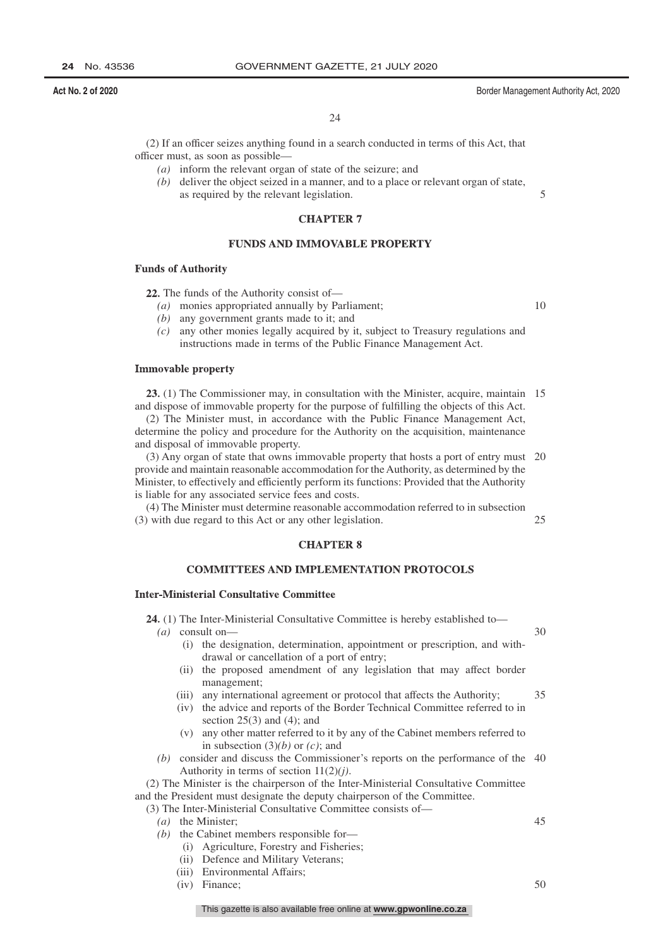5

10

24

(2) If an officer seizes anything found in a search conducted in terms of this Act, that officer must, as soon as possible—

- *(a)* inform the relevant organ of state of the seizure; and
- *(b)* deliver the object seized in a manner, and to a place or relevant organ of state, as required by the relevant legislation.

#### **CHAPTER 7**

#### **FUNDS AND IMMOVABLE PROPERTY**

#### **Funds of Authority**

22. The funds of the Authority consist of—

- *(a)* monies appropriated annually by Parliament;
- *(b)* any government grants made to it; and
- *(c)* any other monies legally acquired by it, subject to Treasury regulations and instructions made in terms of the Public Finance Management Act.

#### **Immovable property**

(1) The Commissioner may, in consultation with the Minister, acquire, maintain 15 and dispose of immovable property for the purpose of fulfilling the objects of this Act.

(2) The Minister must, in accordance with the Public Finance Management Act, determine the policy and procedure for the Authority on the acquisition, maintenance and disposal of immovable property.

(3) Any organ of state that owns immovable property that hosts a port of entry must 20 provide and maintain reasonable accommodation for the Authority, as determined by the Minister, to effectively and efficiently perform its functions: Provided that the Authority is liable for any associated service fees and costs.

(4) The Minister must determine reasonable accommodation referred to in subsection (3) with due regard to this Act or any other legislation.

#### **CHAPTER 8**

#### **COMMITTEES AND IMPLEMENTATION PROTOCOLS**

#### **Inter-Ministerial Consultative Committee**

(1) The Inter-Ministerial Consultative Committee is hereby established to— *(a)* consult on—

- (i) the designation, determination, appointment or prescription, and withdrawal or cancellation of a port of entry;
- (ii) the proposed amendment of any legislation that may affect border management;
- (iii) any international agreement or protocol that affects the Authority;
- (iv) the advice and reports of the Border Technical Committee referred to in section  $25(3)$  and  $(4)$ ; and
- (v) any other matter referred to it by any of the Cabinet members referred to in subsection (3)*(b)* or *(c)*; and
- *(b)* consider and discuss the Commissioner's reports on the performance of the 40 Authority in terms of section 11(2)*(j)*.

(2) The Minister is the chairperson of the Inter-Ministerial Consultative Committee and the President must designate the deputy chairperson of the Committee.

(3) The Inter-Ministerial Consultative Committee consists of—

- *(a)* the Minister;
- *(b)* the Cabinet members responsible for—
	- (i) Agriculture, Forestry and Fisheries;
	- (ii) Defence and Military Veterans;
	- (iii) Environmental Affairs;
	- (iv) Finance;

35

 $25$ 

30

- 
- 
- 45

- 
- 
-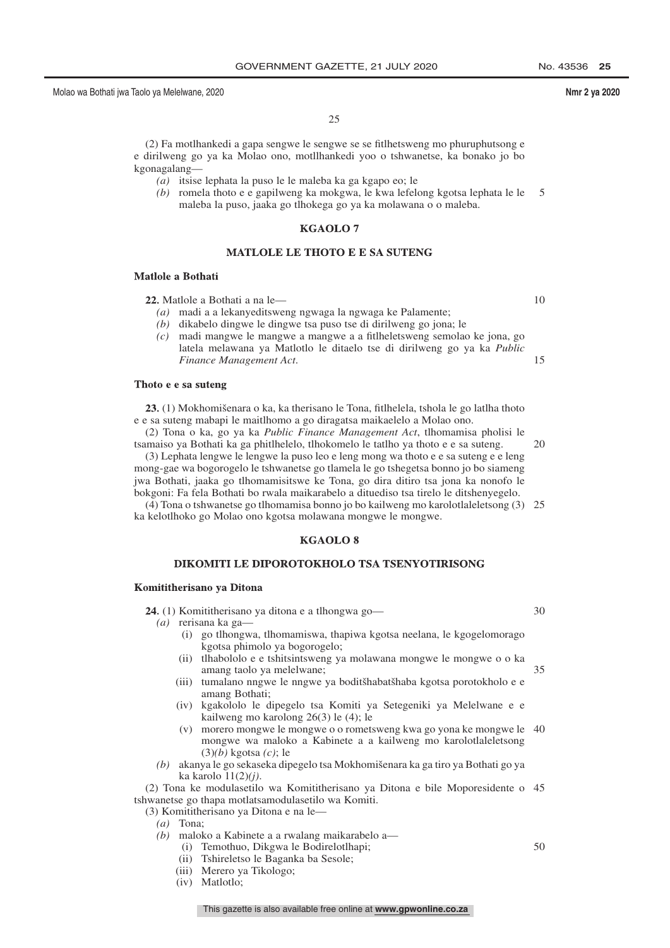25

(2) Fa motlhankedi a gapa sengwe le sengwe se se fitlhetsweng mo phuruphutsong e e dirilweng go ya ka Molao ono, motllhankedi yoo o tshwanetse, ka bonako jo bo kgonagalang—

*(a)* itsise lephata la puso le le maleba ka ga kgapo eo; le

*(b)* romela thoto e e gapilweng ka mokgwa, le kwa lefelong kgotsa lephata le le maleba la puso, jaaka go tlhokega go ya ka molawana o o maleba. 5

#### **KGAOLO7**

#### **MATLOLE LE THOTO E E SA SUTENG**

#### **Matlole a Bothati**

22. Matlole a Bothati a na le-

- *(a)* madi a a lekanyeditsweng ngwaga la ngwaga ke Palamente;
- *(b)* dikabelo dingwe le dingwe tsa puso tse di dirilweng go jona; le
- *(c)* madi mangwe le mangwe a mangwe a a fitlheletsweng semolao ke jona, go latela melawana ya Matlotlo le ditaelo tse di dirilweng go ya ka *Public Finance Management Act*. 15

#### Thoto e e sa suteng

23. (1) Mokhomišenara o ka, ka therisano le Tona, fitlhelela, tshola le go latlha thoto e e sa suteng mabapi le maitlhomo a go diragatsa maikaelelo a Molao ono.

(2) Tona o ka, go ya ka *Public Finance Management Act*, tlhomamisa pholisi le tsamaiso ya Bothati ka ga phitlhelelo, tlhokomelo le tatlho ya thoto e e sa suteng. 20

(3) Lephata lengwe le lengwe la puso leo e leng mong wa thoto e e sa suteng e e leng mong-gae wa bogorogelo le tshwanetse go tlamela le go tshegetsa bonno jo bo siameng jwa Bothati, jaaka go tlhomamisitswe ke Tona, go dira ditiro tsa jona ka nonofo le bokgoni: Fa fela Bothati bo rwala maikarabelo a dituediso tsa tirelo le ditshenyegelo.

(4) Tona o tshwanetse go tlhomamisa bonno jo bo kailweng mo karolotlaleletsong (3) 25 ka kelotlhoko go Molao ono kgotsa molawana mongwe le mongwe.

#### **KGAOLO<sub>8</sub>**

#### DIKOMITI LE DIPOROTOKHOLO TSA TSENYOTIRISONG

#### Komititherisano ya Ditona

|       | (a) rerisana ka ga—                                                |    |
|-------|--------------------------------------------------------------------|----|
| (1)   | go tlhongwa, tlhomamiswa, thapiwa kgotsa neelana, le kgogelomorago |    |
|       | kgotsa phimolo ya bogorogelo;                                      |    |
| (11)  | tlhabololo e e tshitsintsweng ya molawana mongwe le mongwe o o ka  |    |
|       | amang taolo ya melelwane;                                          | 35 |
| (111) | tumalano nngwe le nngwe ya boditšhabatšhaba kgotsa porotokholo e e |    |
|       | amang Bothati;                                                     |    |
| (1V)  | kgakololo le dipegelo tsa Komiti ya Setegeniki ya Melelwane e e    |    |
|       | kailweng mo karolong $26(3)$ le $(4)$ ; le                         |    |
| (v)   | morero mongwe le mongwe o o rometsweng kwa go yona ke mongwe le 40 |    |

- mongwe wa maloko a Kabinete a a kailweng mo karolotlaleletsong (3)*(b)* kgotsa *(c)*; le  $\overline{0}$
- (b) akanya le go sekaseka dipegelo tsa Mokhomišenara ka ga tiro ya Bothati go ya ka karolo 11(2)*(j)*.

(2) Tona ke modulasetilo wa Komititherisano ya Ditona e bile Moporesidente o 45 tshwanetse go thapa motlatsamodulasetilo wa Komiti.

(3) Komititherisano ya Ditona e na le—

*(a)* Tona;

- *(b)* maloko a Kabinete a a rwalang maikarabelo a—
	- (i) Temothuo, Dikgwa le Bodirelotlhapi;
	- (ii) Tshireletso le Baganka ba Sesole;

(1) Komititherisano ya ditona e a tlhongwa go—

- (iii) Merero ya Tikologo;
- (iv) Matlotlo;

30

50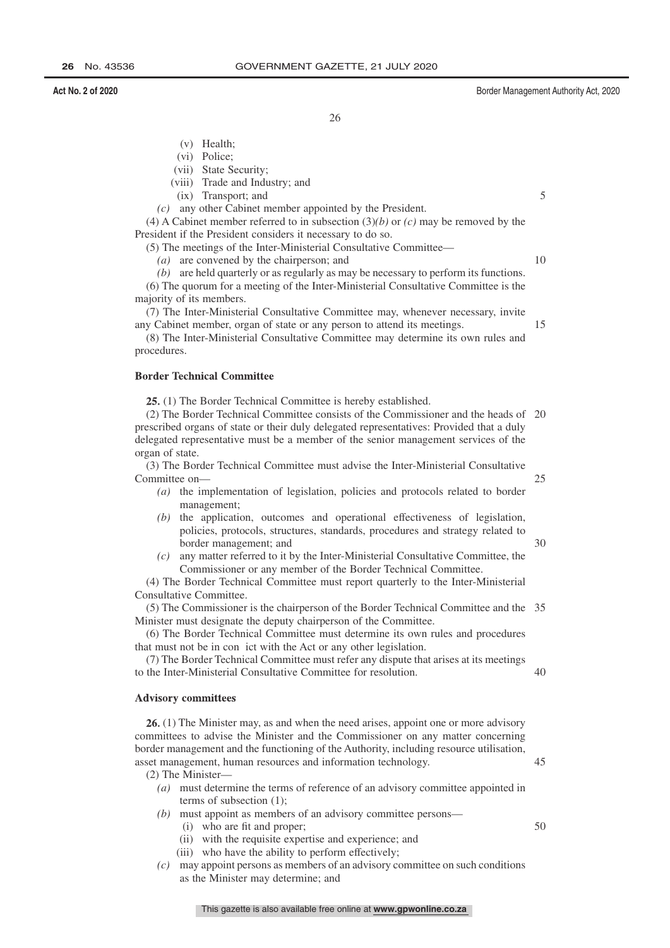5

10

15

25

30

26

- (v) Health;
- (vi) Police;
- (vii) State Security;
- (viii) Trade and Industry; and
- (ix) Transport; and
- *(c)* any other Cabinet member appointed by the President.

(4) A Cabinet member referred to in subsection  $(3)(b)$  or  $(c)$  may be removed by the President if the President considers it necessary to do so.

(5) The meetings of the Inter-Ministerial Consultative Committee—

*(a)* are convened by the chairperson; and

*(b)* are held quarterly or as regularly as may be necessary to perform its functions.

(6) The quorum for a meeting of the Inter-Ministerial Consultative Committee is the majority of its members.

(7) The Inter-Ministerial Consultative Committee may, whenever necessary, invite any Cabinet member, organ of state or any person to attend its meetings.

(8) The Inter-Ministerial Consultative Committee may determine its own rules and procedures.

#### **Border Technical Committee**

25. (1) The Border Technical Committee is hereby established.

(2) The Border Technical Committee consists of the Commissioner and the heads of 20 prescribed organs of state or their duly delegated representatives: Provided that a duly delegated representative must be a member of the senior management services of the organ of state.

(3) The Border Technical Committee must advise the Inter-Ministerial Consultative Committee on-

- *(a)* the implementation of legislation, policies and protocols related to border management;
- *(b)* the application, outcomes and operational effectiveness of legislation, policies, protocols, structures, standards, procedures and strategy related to border management; and
- *(c)* any matter referred to it by the Inter-Ministerial Consultative Committee, the Commissioner or any member of the Border Technical Committee.

(4) The Border Technical Committee must report quarterly to the Inter-Ministerial Consultative Committee.

(5) The Commissioner is the chairperson of the Border Technical Committee and the 35 Minister must designate the deputy chairperson of the Committee.

(6) The Border Technical Committee must determine its own rules and procedures that must not be in con ict with the Act or any other legislation.

(7) The Border Technical Committee must refer any dispute that arises at its meetings to the Inter-Ministerial Consultative Committee for resolution.

#### **Advisory committees**

(1) The Minister may, as and when the need arises, appoint one or more advisory committees to advise the Minister and the Commissioner on any matter concerning border management and the functioning of the Authority, including resource utilisation, asset management, human resources and information technology.

(2) The Minister—

- *(a)* must determine the terms of reference of an advisory committee appointed in terms of subsection (1);
- *(b)* must appoint as members of an advisory committee persons—
	- (i) who are fit and proper;
	- (ii) with the requisite expertise and experience; and
	- (iii) who have the ability to perform effectively;
- *(c)* may appoint persons as members of an advisory committee on such conditions as the Minister may determine; and

45

50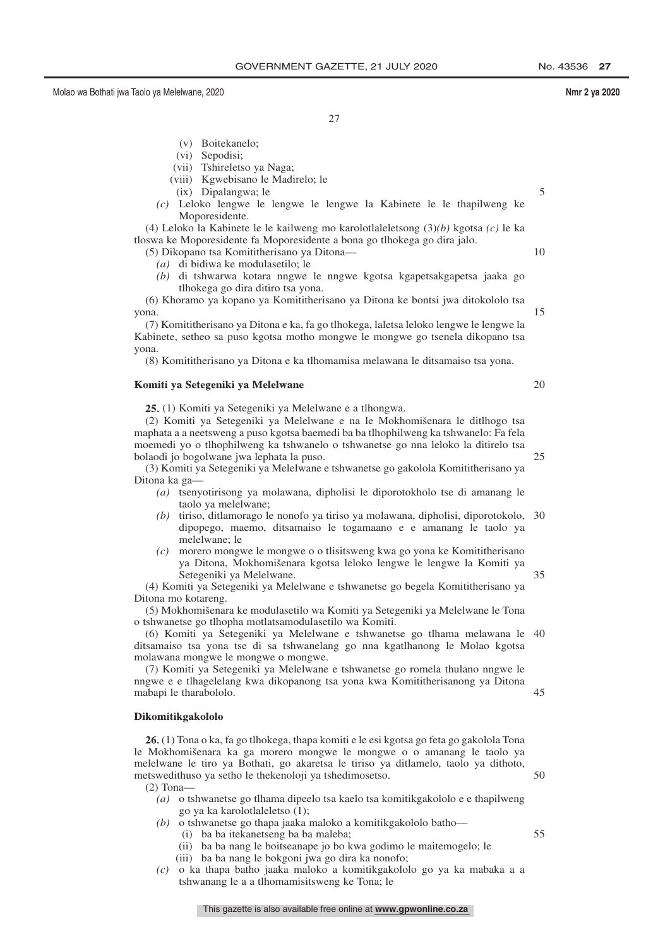GOVERNMENT GAZETTE, 21 JULY 2020 No. 43536 **27**

Molao wa Bothati jwa Taolo ya Melelwane, 2020 **Nmr 2 ya 2020**

27

- (v) Boitekanelo;
- (vi) Sepodisi;
- (vii) Tshireletso ya Naga;
- (viii) Kgwebisano le Madirelo; le
- (ix) Dipalangwa; le
- *(c)* Leloko lengwe le lengwe le lengwe la Kabinete le le thapilweng ke Moporesidente.

(4) Leloko la Kabinete le le kailweng mo karolotlaleletsong (3)*(b)* kgotsa *(c)* le ka tloswa ke Moporesidente fa Moporesidente a bona go tlhokega go dira jalo.

- (5) Dikopano tsa Komititherisano ya Ditona—
	- *(a)* di bidiwa ke modulasetilo; le
	- *(b)* di tshwarwa kotara nngwe le nngwe kgotsa kgapetsakgapetsa jaaka go tlhokega go dira ditiro tsa yona.

(6) Khoramo ya kopano ya Komititherisano ya Ditona ke bontsi jwa ditokololo tsa yona. 15

(7) Komititherisano ya Ditona e ka, fa go tlhokega, laletsa leloko lengwe le lengwe la Kabinete, setheo sa puso kgotsa motho mongwe le mongwe go tsenela dikopano tsa yona.

(8) Komititherisano ya Ditona e ka tlhomamisa melawana le ditsamaiso tsa yona.

#### Komiti ya Setegeniki ya Melelwane

(1) Komiti ya Setegeniki ya Melelwane e a tlhongwa.

(2) Komiti ya Setegeniki ya Melelwane e na le Mokhomišenara le ditlhogo tsa maphata a a neetsweng a puso kgotsa baemedi ba ba tlhophilweng ka tshwanelo: Fa fela moemedi yo o tlhophilweng ka tshwanelo o tshwanetse go nna leloko la ditirelo tsa bolaodi jo bogolwane jwa lephata la puso.

(3) Komiti ya Setegeniki ya Melelwane e tshwanetse go gakolola Komititherisano ya Ditona ka ga—

- *(a)* tsenyotirisong ya molawana, dipholisi le diporotokholo tse di amanang le taolo ya melelwane;
- *(b)* tiriso, ditlamorago le nonofo ya tiriso ya molawana, dipholisi, diporotokolo, 30 dipopego, maemo, ditsamaiso le togamaano e e amanang le taolo ya melelwane; le
- *(c)* morero mongwe le mongwe o o tlisitsweng kwa go yona ke Komititherisano ya Ditona, Mokhomišenara kgotsa leloko lengwe le lengwe la Komiti ya Setegeniki ya Melelwane. 35

(4) Komiti ya Setegeniki ya Melelwane e tshwanetse go begela Komititherisano ya Ditona mo kotareng.

(5) Mokhomišenara ke modulasetilo wa Komiti ya Setegeniki ya Melelwane le Tona o tshwanetse go tlhopha motlatsamodulasetilo wa Komiti.

(6) Komiti ya Setegeniki ya Melelwane e tshwanetse go tlhama melawana le 40 ditsamaiso tsa yona tse di sa tshwanelang go nna kgatlhanong le Molao kgotsa molawana mongwe le mongwe o mongwe.

(7) Komiti ya Setegeniki ya Melelwane e tshwanetse go romela thulano nngwe le nngwe e e tlhagelelang kwa dikopanong tsa yona kwa Komititherisanong ya Ditona mabapi le tharabololo.

#### Dikomitikgakololo

(1) Tona o ka, fa go tlhokega, thapa komiti e le esi kgotsa go feta go gakolola Tona le Mokhomišenara ka ga morero mongwe le mongwe o o amanang le taolo ya melelwane le tiro ya Bothati, go akaretsa le tiriso ya ditlamelo, taolo ya dithoto, metswedithuso ya setho le thekenoloji ya tshedimosetso. (2) Tona—

*(a)* o tshwanetse go tlhama dipeelo tsa kaelo tsa komitikgakololo e e thapilweng go ya ka karolotlaleletso (1);

- *(b)* o tshwanetse go thapa jaaka maloko a komitikgakololo batho—
	- (i) ba ba itekanetseng ba ba maleba;
	- (ii) ba ba nang le boitseanape jo bo kwa godimo le maitemogelo; le
	- (iii) ba ba nang le bokgoni jwa go dira ka nonofo;
- *(c)* o ka thapa batho jaaka maloko a komitikgakololo go ya ka mabaka a a tshwanang le a a tlhomamisitsweng ke Tona; le

55

50

45

20

25

5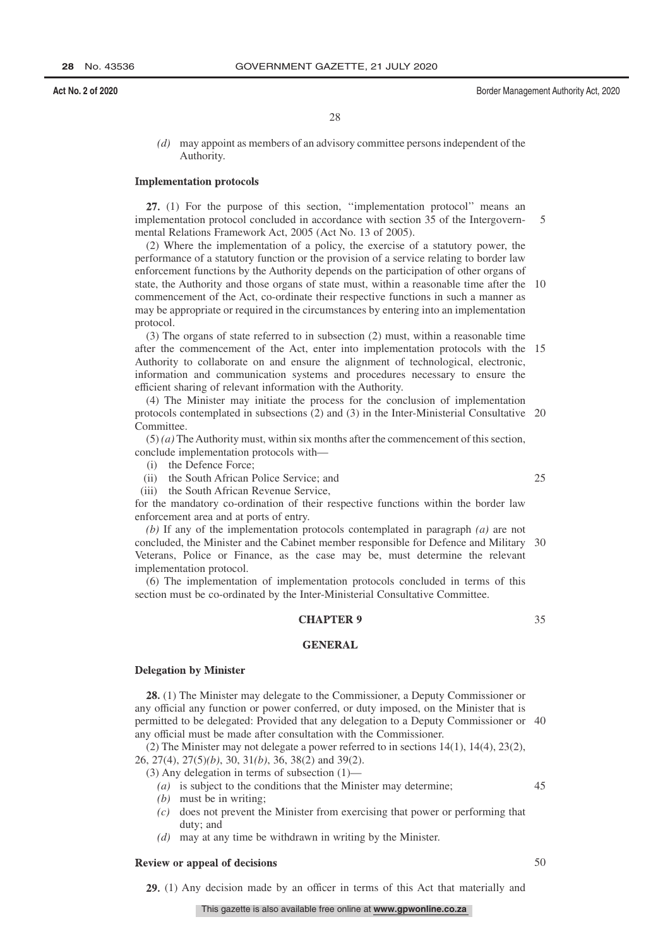*(d)* may appoint as members of an advisory committee persons independent of the Authority.

#### **Implementation protocols**

(1) For the purpose of this section, ''implementation protocol'' means an implementation protocol concluded in accordance with section 35 of the Intergovernmental Relations Framework Act, 2005 (Act No. 13 of 2005). 5

(2) Where the implementation of a policy, the exercise of a statutory power, the performance of a statutory function or the provision of a service relating to border law enforcement functions by the Authority depends on the participation of other organs of state, the Authority and those organs of state must, within a reasonable time after the 10 commencement of the Act, co-ordinate their respective functions in such a manner as may be appropriate or required in the circumstances by entering into an implementation protocol.

(3) The organs of state referred to in subsection (2) must, within a reasonable time after the commencement of the Act, enter into implementation protocols with the 15 Authority to collaborate on and ensure the alignment of technological, electronic, information and communication systems and procedures necessary to ensure the efficient sharing of relevant information with the Authority.

(4) The Minister may initiate the process for the conclusion of implementation protocols contemplated in subsections (2) and (3) in the Inter-Ministerial Consultative 20 Committee.

(5) *(a)* The Authority must, within six months after the commencement of this section, conclude implementation protocols with—

(i) the Defence Force;

(ii) the South African Police Service; and

(iii) the South African Revenue Service,

for the mandatory co-ordination of their respective functions within the border law enforcement area and at ports of entry.

*(b)* If any of the implementation protocols contemplated in paragraph *(a)* are not concluded, the Minister and the Cabinet member responsible for Defence and Military Veterans, Police or Finance, as the case may be, must determine the relevant implementation protocol. 30

(6) The implementation of implementation protocols concluded in terms of this section must be co-ordinated by the Inter-Ministerial Consultative Committee.

#### **CHAPTER 9**

35

25

#### **GENERAL**

#### **Delegation by Minister**

28. (1) The Minister may delegate to the Commissioner, a Deputy Commissioner or any official any function or power conferred, or duty imposed, on the Minister that is permitted to be delegated: Provided that any delegation to a Deputy Commissioner or 40 any official must be made after consultation with the Commissioner.

(2) The Minister may not delegate a power referred to in sections 14(1), 14(4), 23(2), 26, 27(4), 27(5)*(b)*, 30, 31*(b)*, 36, 38(2) and 39(2).

(3) Any delegation in terms of subsection (1)—

- *(a)* is subject to the conditions that the Minister may determine;
- *(b)* must be in writing;
- *(c)* does not prevent the Minister from exercising that power or performing that duty; and
- *(d)* may at any time be withdrawn in writing by the Minister.

#### **Review or appeal of decisions**

(1) Any decision made by an officer in terms of this Act that materially and

50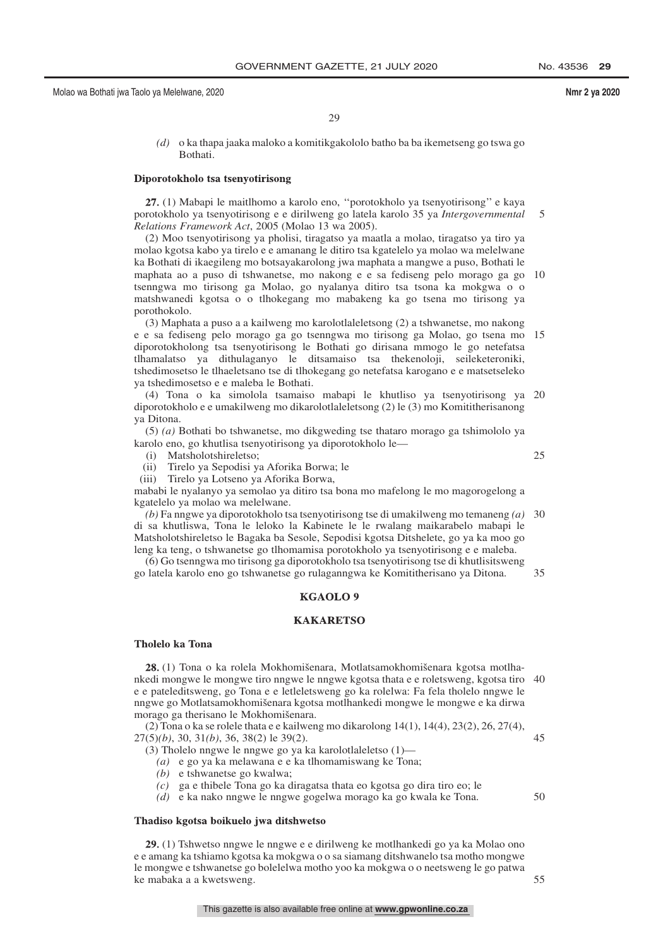29

*(d)* o ka thapa jaaka maloko a komitikgakololo batho ba ba ikemetseng go tswa go Bothati.

#### Diporotokholo tsa tsenyotirisong

(1) Mabapi le maitlhomo a karolo eno, ''porotokholo ya tsenyotirisong'' e kaya porotokholo ya tsenyotirisong e e dirilweng go latela karolo 35 ya *Intergovernmental Relations Framework Act*, 2005 (Molao 13 wa 2005). 5

(2) Moo tsenyotirisong ya pholisi, tiragatso ya maatla a molao, tiragatso ya tiro ya molao kgotsa kabo ya tirelo e e amanang le ditiro tsa kgatelelo ya molao wa melelwane ka Bothati di ikaegileng mo botsayakarolong jwa maphata a mangwe a puso, Bothati le maphata ao a puso di tshwanetse, mo nakong e e sa fediseng pelo morago ga go tsenngwa mo tirisong ga Molao, go nyalanya ditiro tsa tsona ka mokgwa o o matshwanedi kgotsa o o tlhokegang mo mabakeng ka go tsena mo tirisong ya porothokolo. 10

(3) Maphata a puso a a kailweng mo karolotlaleletsong (2) a tshwanetse, mo nakong e e sa fediseng pelo morago ga go tsenngwa mo tirisong ga Molao, go tsena mo 15 diporotokholong tsa tsenyotirisong le Bothati go dirisana mmogo le go netefatsa tlhamalatso ya dithulaganyo le ditsamaiso tsa thekenoloji, seileketeroniki, tshedimosetso le tlhaeletsano tse di tlhokegang go netefatsa karogano e e matsetseleko ya tshedimosetso e e maleba le Bothati.

(4) Tona o ka simolola tsamaiso mabapi le khutliso ya tsenyotirisong ya 20 diporotokholo e e umakilweng mo dikarolotlaleletsong (2) le (3) mo Komititherisanong ya Ditona.

(5) *(a)* Bothati bo tshwanetse, mo dikgweding tse thataro morago ga tshimololo ya karolo eno, go khutlisa tsenyotirisong ya diporotokholo le—

(i) Matsholotshireletso;

(ii) Tirelo ya Sepodisi ya Aforika Borwa; le

(iii) Tirelo ya Lotseno ya Aforika Borwa,

mababi le nyalanyo ya semolao ya ditiro tsa bona mo mafelong le mo magorogelong a kgatelelo ya molao wa melelwane.

*(b)* Fa nngwe ya diporotokholo tsa tsenyotirisong tse di umakilweng mo temaneng *(a)* 30 di sa khutliswa, Tona le leloko la Kabinete le le rwalang maikarabelo mabapi le Matsholotshireletso le Bagaka ba Sesole, Sepodisi kgotsa Ditshelete, go ya ka moo go leng ka teng, o tshwanetse go tlhomamisa porotokholo ya tsenyotirisong e e maleba.

(6) Go tsenngwa mo tirisong ga diporotokholo tsa tsenyotirisong tse di khutlisitsweng go latela karolo eno go tshwanetse go rulaganngwa ke Komititherisano ya Ditona. 35

#### **KGAOLO9**

#### **KAKARETSO**

#### **Tholelo ka Tona**

28. (1) Tona o ka rolela Mokhomišenara, Motlatsamokhomišenara kgotsa motlhankedi mongwe le mongwe tiro nngwe le nngwe kgotsa thata e e roletsweng, kgotsa tiro 40 e e pateleditsweng, go Tona e e letleletsweng go ka rolelwa: Fa fela tholelo nngwe le nngwe go Motlatsamokhomišenara kgotsa motlhankedi mongwe le mongwe e ka dirwa morago ga therisano le Mokhomišenara.

(2) Tona o ka se rolele thata e e kailweng mo dikarolong 14(1), 14(4), 23(2), 26, 27(4), 27(5)*(b)*, 30, 31*(b)*, 36, 38(2) le 39(2).

(3) Tholelo nngwe le nngwe go ya ka karolotlaleletso (1)—

- *(a)* e go ya ka melawana e e ka tlhomamiswang ke Tona;
- *(b)* e tshwanetse go kwalwa;
- *(c)* ga e thibele Tona go ka diragatsa thata eo kgotsa go dira tiro eo; le

*(d)* e ka nako nngwe le nngwe gogelwa morago ka go kwala ke Tona.

#### Thadiso kgotsa boikuelo jwa ditshwetso

(1) Tshwetso nngwe le nngwe e e dirilweng ke motlhankedi go ya ka Molao ono e e amang ka tshiamo kgotsa ka mokgwa o o sa siamang ditshwanelo tsa motho mongwe le mongwe e tshwanetse go bolelelwa motho yoo ka mokgwa o o neetsweng le go patwa ke mabaka a a kwetsweng.

45

50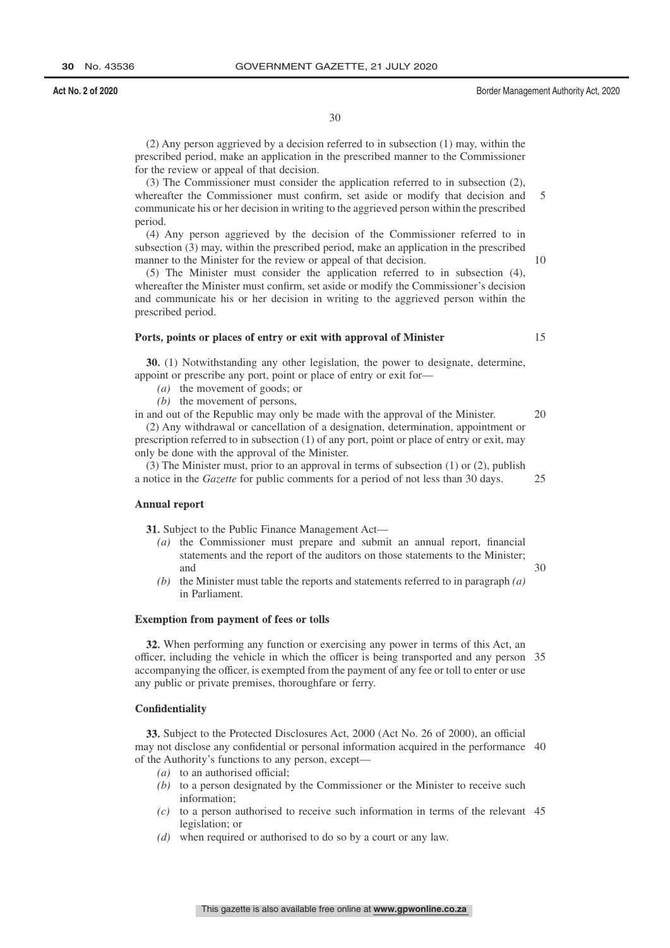10

15

30

30

(2) Any person aggrieved by a decision referred to in subsection (1) may, within the prescribed period, make an application in the prescribed manner to the Commissioner for the review or appeal of that decision.

(3) The Commissioner must consider the application referred to in subsection (2), whereafter the Commissioner must confirm, set aside or modify that decision and communicate his or her decision in writing to the aggrieved person within the prescribed period. 5

(4) Any person aggrieved by the decision of the Commissioner referred to in subsection (3) may, within the prescribed period, make an application in the prescribed manner to the Minister for the review or appeal of that decision.

(5) The Minister must consider the application referred to in subsection (4), whereafter the Minister must confirm, set aside or modify the Commissioner's decision and communicate his or her decision in writing to the aggrieved person within the prescribed period.

#### Ports, points or places of entry or exit with approval of Minister

30. (1) Notwithstanding any other legislation, the power to designate, determine, appoint or prescribe any port, point or place of entry or exit for—

- *(a)* the movement of goods; or
- *(b)* the movement of persons,

in and out of the Republic may only be made with the approval of the Minister. 20

(2) Any withdrawal or cancellation of a designation, determination, appointment or prescription referred to in subsection (1) of any port, point or place of entry or exit, may only be done with the approval of the Minister.

(3) The Minister must, prior to an approval in terms of subsection (1) or (2), publish a notice in the *Gazette* for public comments for a period of not less than 30 days.  $25$ 

#### **Annual report**

31. Subject to the Public Finance Management Act—

- *(a)* the Commissioner must prepare and submit an annual report, financial statements and the report of the auditors on those statements to the Minister; and
- *(b)* the Minister must table the reports and statements referred to in paragraph *(a)* in Parliament.

#### **Exemption from payment of fees or tolls**

32. When performing any function or exercising any power in terms of this Act, an officer, including the vehicle in which the officer is being transported and any person 35 accompanying the officer, is exempted from the payment of any fee or toll to enter or use any public or private premises, thoroughfare or ferry.

#### Confidentiality

33. Subject to the Protected Disclosures Act, 2000 (Act No. 26 of 2000), an official may not disclose any confidential or personal information acquired in the performance 40 of the Authority's functions to any person, except—

- *(a)* to an authorised official;
- *(b)* to a person designated by the Commissioner or the Minister to receive such information;
- *(c)* to a person authorised to receive such information in terms of the relevant 45legislation; or
- *(d)* when required or authorised to do so by a court or any law.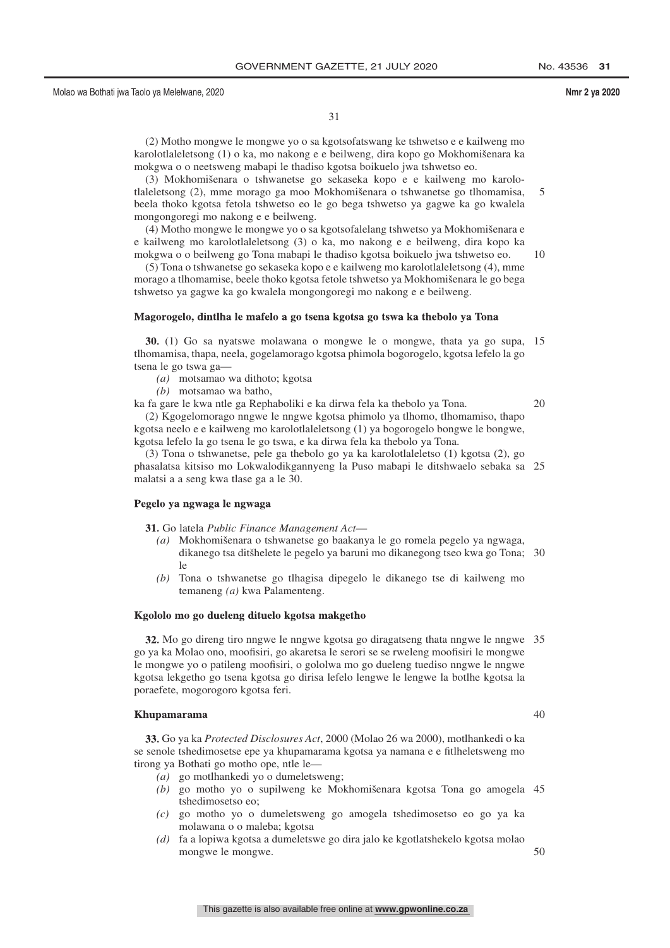31

(2) Motho mongwe le mongwe yo o sa kgotsofatswang ke tshwetso e e kailweng mo karolotlaleletsong (1) o ka, mo nakong e e beilweng, dira kopo go Mokhomišenara ka mokgwa o o neetsweng mabapi le thadiso kgotsa boikuelo jwa tshwetso eo.

(3) Mokhomišenara o tshwanetse go sekaseka kopo e e kailweng mo karolotlaleletsong (2), mme morago ga moo Mokhomišenara o tshwanetse go tlhomamisa, beela thoko kgotsa fetola tshwetso eo le go bega tshwetso ya gagwe ka go kwalela mongongoregi mo nakong e e beilweng. 5

(4) Motho mongwe le mongwe yo o sa kgotsofalelang tshwetso ya Mokhomišenara e e kailweng mo karolotlaleletsong (3) o ka, mo nakong e e beilweng, dira kopo ka mokgwa o o beilweng go Tona mabapi le thadiso kgotsa boikuelo jwa tshwetso eo. 10

(5) Tona o tshwanetse go sekaseka kopo e e kailweng mo karolotlaleletsong (4), mme morago a tlhomamise, beele thoko kgotsa fetole tshwetso ya Mokhomišenara le go bega tshwetso ya gagwe ka go kwalela mongongoregi mo nakong e e beilweng.

#### Magorogelo, dintlha le mafelo a go tsena kgotsa go tswa ka thebolo ya Tona

(1) Go sa nyatswe molawana o mongwe le o mongwe, thata ya go supa, 15 tlhomamisa, thapa, neela, gogelamorago kgotsa phimola bogorogelo, kgotsa lefelo la go tsena le go tswa ga—

*(a)* motsamao wa dithoto; kgotsa

*(b)* motsamao wa batho,

20

40

50

ka fa gare le kwa ntle ga Rephaboliki e ka dirwa fela ka thebolo ya Tona. (2) Kgogelomorago nngwe le nngwe kgotsa phimolo ya tlhomo, tlhomamiso, thapo kgotsa neelo e e kailweng mo karolotlaleletsong (1) ya bogorogelo bongwe le bongwe, kgotsa lefelo la go tsena le go tswa, e ka dirwa fela ka thebolo ya Tona.

(3) Tona o tshwanetse, pele ga thebolo go ya ka karolotlaleletso (1) kgotsa (2), go phasalatsa kitsiso mo Lokwalodikgannyeng la Puso mabapi le ditshwaelo sebaka sa 25 malatsi a a seng kwa tlase ga a le 30.

#### Pegelo ya ngwaga le ngwaga

31. Go latela *Public Finance Management Act*—

- *(a)* Mokhomišenara o tshwanetse go baakanya le go romela pegelo ya ngwaga, dikanego tsa ditšhelete le pegelo ya baruni mo dikanegong tseo kwa go Tona; 30  $1<sub>e</sub>$
- *(b)* Tona o tshwanetse go tlhagisa dipegelo le dikanego tse di kailweng mo temaneng *(a)* kwa Palamenteng.

#### Kgololo mo go dueleng dituelo kgotsa makgetho

Mo go direng tiro nngwe le nngwe kgotsa go diragatseng thata nngwe le nngwe 35 go ya ka Molao ono, moofisiri, go akaretsa le serori se se rweleng moofisiri le mongwe le mongwe yo o patileng moofisiri, o gololwa mo go dueleng tuediso nngwe le nngwe kgotsa lekgetho go tsena kgotsa go dirisa lefelo lengwe le lengwe la botlhe kgotsa la poraefete, mogorogoro kgotsa feri.

#### Khupamarama

Go ya ka *Protected Disclosures Act*, 2000 (Molao 26 wa 2000), motlhankedi o ka se senole tshedimosetse epe ya khupamarama kgotsa ya namana e e fitlheletsweng mo tirong ya Bothati go motho ope, ntle le—

- *(a)* go motlhankedi yo o dumeletsweng;
- (b) go motho yo o supilweng ke Mokhomišenara kgotsa Tona go amogela 45 tshedimosetso eo;
- *(c)* go motho yo o dumeletsweng go amogela tshedimosetso eo go ya ka molawana o o maleba; kgotsa
- *(d)* fa a lopiwa kgotsa a dumeletswe go dira jalo ke kgotlatshekelo kgotsa molao mongwe le mongwe.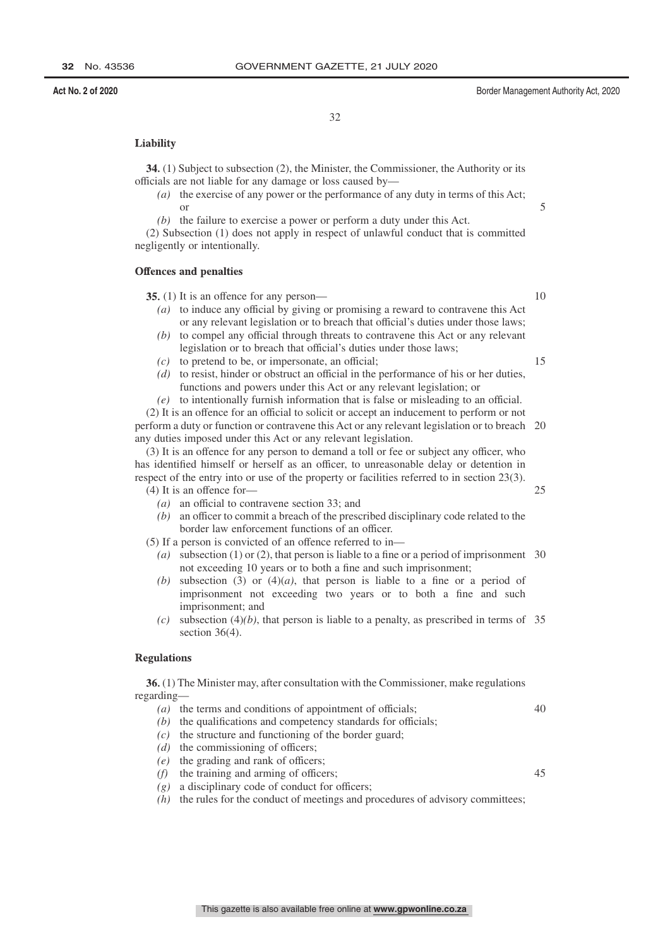5

10

15

25

40

45

32

### Liability

(1) Subject to subsection (2), the Minister, the Commissioner, the Authority or its officials are not liable for any damage or loss caused by—

- *(a)* the exercise of any power or the performance of any duty in terms of this Act; or
- *(b)* the failure to exercise a power or perform a duty under this Act.

(2) Subsection (1) does not apply in respect of unlawful conduct that is committed negligently or intentionally.

#### **Offences and penalties**

**35.** (1) It is an offence for any person—

- *(a)* to induce any official by giving or promising a reward to contravene this Act or any relevant legislation or to breach that official's duties under those laws;
- *(b)* to compel any official through threats to contravene this Act or any relevant legislation or to breach that official's duties under those laws;
- *(c)* to pretend to be, or impersonate, an official;
- *(d)* to resist, hinder or obstruct an official in the performance of his or her duties, functions and powers under this Act or any relevant legislation; or
- *(e)* to intentionally furnish information that is false or misleading to an official.

(2) It is an offence for an official to solicit or accept an inducement to perform or not perform a duty or function or contravene this Act or any relevant legislation or to breach 20 any duties imposed under this Act or any relevant legislation.

(3) It is an offence for any person to demand a toll or fee or subject any officer, who has identified himself or herself as an officer, to unreasonable delay or detention in respect of the entry into or use of the property or facilities referred to in section 23(3).

- (4) It is an offence for—
	- *(a)* an official to contravene section 33; and
	- *(b)* an officer to commit a breach of the prescribed disciplinary code related to the border law enforcement functions of an officer.

(5) If a person is convicted of an offence referred to in—

- *(a)* subsection (1) or (2), that person is liable to a fine or a period of imprisonment 30 not exceeding 10 years or to both a fine and such imprisonment;
- *(b)* subsection (3) or (4)(*a)*, that person is liable to a fine or a period of imprisonment not exceeding two years or to both a fine and such imprisonment; and
- $(c)$  subsection (4) $(b)$ , that person is liable to a penalty, as prescribed in terms of 35 section  $36(4)$ .

#### **Regulations**

(1) The Minister may, after consultation with the Commissioner, make regulations regarding—

- *(a)* the terms and conditions of appointment of officials;
- *(b)* the qualifications and competency standards for officials;
- *(c)* the structure and functioning of the border guard;
- *(d)* the commissioning of officers;
- *(e)* the grading and rank of officers;
- *(f)* the training and arming of officers;
- *(g)* a disciplinary code of conduct for officers;
- *(h)* the rules for the conduct of meetings and procedures of advisory committees;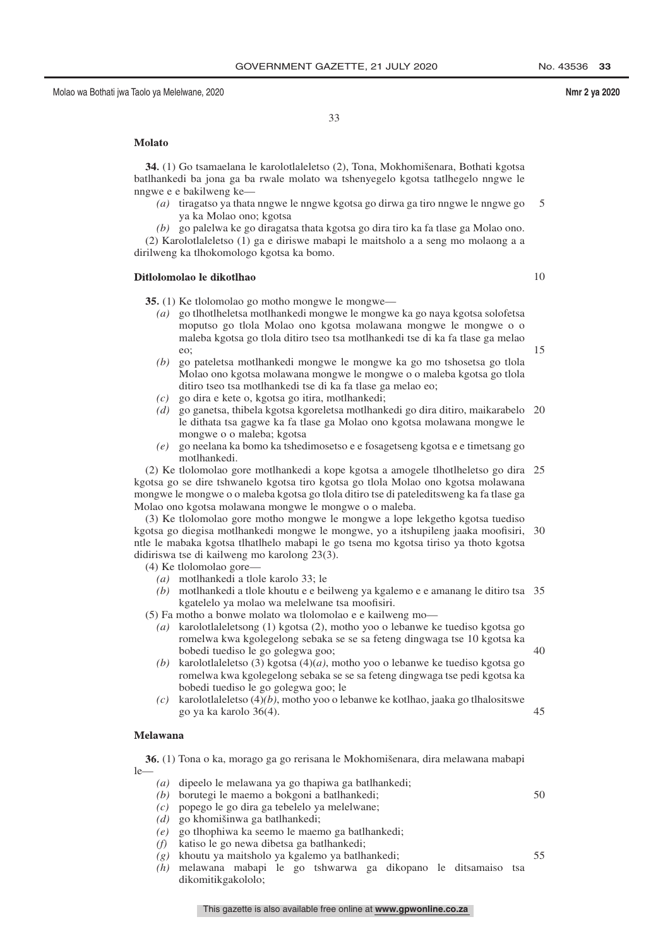33

#### **Molato**

34. (1) Go tsamaelana le karolotlaleletso (2), Tona, Mokhomišenara, Bothati kgotsa batlhankedi ba jona ga ba rwale molato wa tshenyegelo kgotsa tatlhegelo nngwe le nngwe e e bakilweng ke—

*(a)* tiragatso ya thata nngwe le nngwe kgotsa go dirwa ga tiro nngwe le nngwe go ya ka Molao ono; kgotsa 5

*(b)* go palelwa ke go diragatsa thata kgotsa go dira tiro ka fa tlase ga Molao ono. (2) Karolotlaleletso (1) ga e diriswe mabapi le maitsholo a a seng mo molaong a a dirilweng ka tlhokomologo kgotsa ka bomo.

#### Ditlolomolao le dikotlhao

35. (1) Ke tlolomolao go motho mongwe le mongwe—

- *(a)* go tlhotlheletsa motlhankedi mongwe le mongwe ka go naya kgotsa solofetsa moputso go tlola Molao ono kgotsa molawana mongwe le mongwe o o maleba kgotsa go tlola ditiro tseo tsa motlhankedi tse di ka fa tlase ga melao eo;
- *(b)* go pateletsa motlhankedi mongwe le mongwe ka go mo tshosetsa go tlola Molao ono kgotsa molawana mongwe le mongwe o o maleba kgotsa go tlola ditiro tseo tsa motlhankedi tse di ka fa tlase ga melao eo;
- *(c)* go dira e kete o, kgotsa go itira, motlhankedi;
- *(d)* go ganetsa, thibela kgotsa kgoreletsa motlhankedi go dira ditiro, maikarabelo 20 le dithata tsa gagwe ka fa tlase ga Molao ono kgotsa molawana mongwe le mongwe o o maleba; kgotsa
- *(e)* go neelana ka bomo ka tshedimosetso e e fosagetseng kgotsa e e timetsang go motlhankedi.

(2) Ke tlolomolao gore motlhankedi a kope kgotsa a amogele tlhotlheletso go dira 25 kgotsa go se dire tshwanelo kgotsa tiro kgotsa go tlola Molao ono kgotsa molawana mongwe le mongwe o o maleba kgotsa go tlola ditiro tse di pateleditsweng ka fa tlase ga Molao ono kgotsa molawana mongwe le mongwe o o maleba.

(3) Ke tlolomolao gore motho mongwe le mongwe a lope lekgetho kgotsa tuediso kgotsa go diegisa motlhankedi mongwe le mongwe, yo a itshupileng jaaka moofisiri, 30 ntle le mabaka kgotsa tlhatlhelo mabapi le go tsena mo kgotsa tiriso ya thoto kgotsa didiriswa tse di kailweng mo karolong 23(3).

- (4) Ke tlolomolao gore—
	- *(a)* motlhankedi a tlole karolo 33; le
	- *(b)* motlhankedi a tlole khoutu e e beilweng ya kgalemo e e amanang le ditiro tsa 35 kgatelelo ya molao wa melelwane tsa moofisiri.

(5) Fa motho a bonwe molato wa tlolomolao e e kailweng mo—

- *(a)* karolotlaleletsong (1) kgotsa (2), motho yoo o lebanwe ke tuediso kgotsa go romelwa kwa kgolegelong sebaka se se sa feteng dingwaga tse 10 kgotsa ka bobedi tuediso le go golegwa goo;
- *(b)* karolotlaleletso (3) kgotsa (4)(*a)*, motho yoo o lebanwe ke tuediso kgotsa go romelwa kwa kgolegelong sebaka se se sa feteng dingwaga tse pedi kgotsa ka bobedi tuediso le go golegwa goo; le
- *(c)* karolotlaleletso (4)*(b)*, motho yoo o lebanwe ke kotlhao, jaaka go tlhalositswe go ya ka karolo 36(4). 45

#### Melawana

36. (1) Tona o ka, morago ga go rerisana le Mokhomišenara, dira melawana mabapi le—

- *(a)* dipeelo le melawana ya go thapiwa ga batlhankedi;
- *(b)* borutegi le maemo a bokgoni a batlhankedi; *(c)* popego le go dira ga tebelelo ya melelwane;
- *(d)* go khomišinwa ga batlhankedi;
- *(e)* go tlhophiwa ka seemo le maemo ga batlhankedi;
- *(f)* katiso le go newa dibetsa ga batlhankedi;
- *(g)* khoutu ya maitsholo ya kgalemo ya batlhankedi;
- *(h)* melawana mabapi le go tshwarwa ga dikopano le ditsamaiso tsa dikomitikgakololo;

10

15

40

50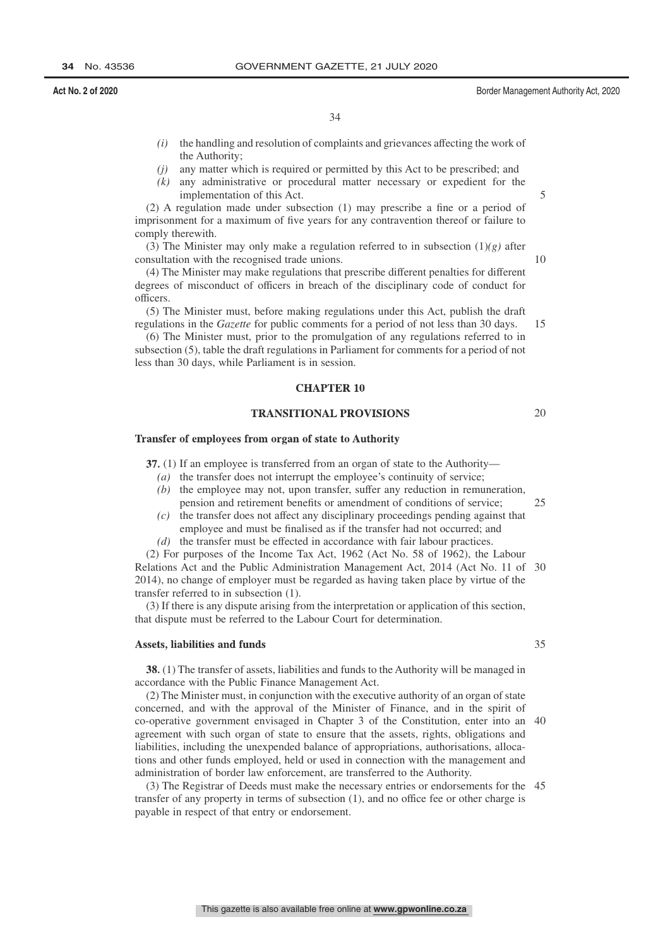5

10

15

20

34

- *(i)* the handling and resolution of complaints and grievances affecting the work of the Authority;
- *(j)* any matter which is required or permitted by this Act to be prescribed; and
- *(k)* any administrative or procedural matter necessary or expedient for the implementation of this Act.

(2) A regulation made under subsection (1) may prescribe a fine or a period of imprisonment for a maximum of five years for any contravention thereof or failure to comply therewith.

(3) The Minister may only make a regulation referred to in subsection (1)*(g)* after consultation with the recognised trade unions.

(4) The Minister may make regulations that prescribe different penalties for different degrees of misconduct of officers in breach of the disciplinary code of conduct for officers.

(5) The Minister must, before making regulations under this Act, publish the draft regulations in the *Gazette* for public comments for a period of not less than 30 days.

(6) The Minister must, prior to the promulgation of any regulations referred to in subsection (5), table the draft regulations in Parliament for comments for a period of not less than 30 days, while Parliament is in session.

#### **CHAPTER 10**

#### **TRANSITIONAL PROVISIONS**

Transfer of employees from organ of state to Authority

37. (1) If an employee is transferred from an organ of state to the Authority—

- *(a)* the transfer does not interrupt the employee's continuity of service;
- *(b)* the employee may not, upon transfer, suffer any reduction in remuneration, pension and retirement benefits or amendment of conditions of service; 25
- *(c)* the transfer does not affect any disciplinary proceedings pending against that employee and must be finalised as if the transfer had not occurred; and
- *(d)* the transfer must be effected in accordance with fair labour practices.

(2) For purposes of the Income Tax Act, 1962 (Act No. 58 of 1962), the Labour Relations Act and the Public Administration Management Act, 2014 (Act No. 11 of 30 2014), no change of employer must be regarded as having taken place by virtue of the transfer referred to in subsection (1).

(3) If there is any dispute arising from the interpretation or application of this section, that dispute must be referred to the Labour Court for determination.

#### **Assets, liabilities and funds**

38. (1) The transfer of assets, liabilities and funds to the Authority will be managed in accordance with the Public Finance Management Act.

(2) The Minister must, in conjunction with the executive authority of an organ of state concerned, and with the approval of the Minister of Finance, and in the spirit of co-operative government envisaged in Chapter 3 of the Constitution, enter into an 40 agreement with such organ of state to ensure that the assets, rights, obligations and liabilities, including the unexpended balance of appropriations, authorisations, allocations and other funds employed, held or used in connection with the management and administration of border law enforcement, are transferred to the Authority.

(3) The Registrar of Deeds must make the necessary entries or endorsements for the 45transfer of any property in terms of subsection (1), and no office fee or other charge is payable in respect of that entry or endorsement.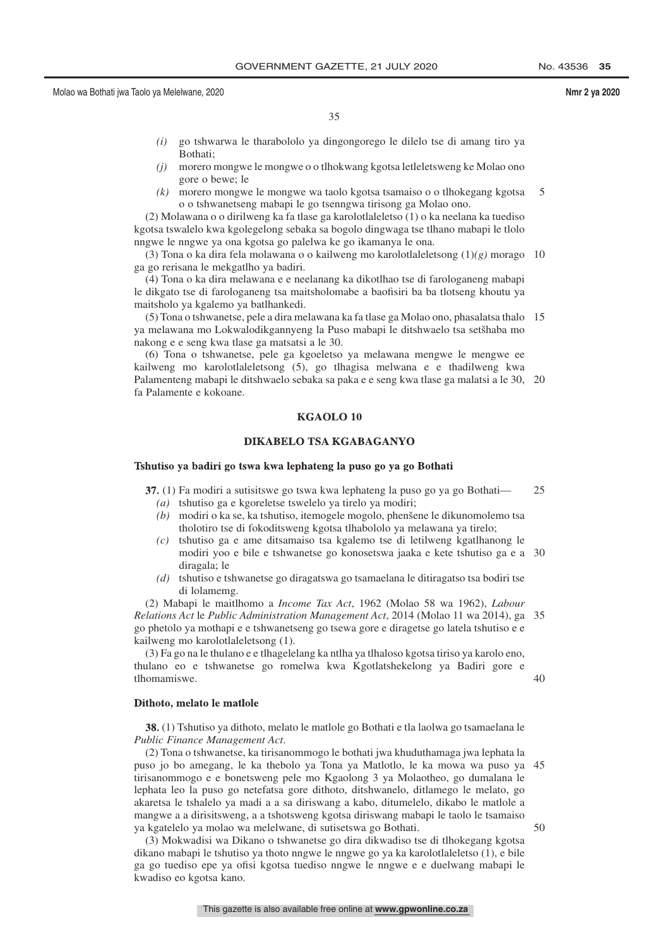35

- *(i)* go tshwarwa le tharabololo ya dingongorego le dilelo tse di amang tiro ya Bothati;
- *(j)* morero mongwe le mongwe o o tlhokwang kgotsa letleletsweng ke Molao ono gore o bewe; le
- *(k)* morero mongwe le mongwe wa taolo kgotsa tsamaiso o o tlhokegang kgotsa o o tshwanetseng mabapi le go tsenngwa tirisong ga Molao ono. 5

(2) Molawana o o dirilweng ka fa tlase ga karolotlaleletso (1) o ka neelana ka tuediso kgotsa tswalelo kwa kgolegelong sebaka sa bogolo dingwaga tse tlhano mabapi le tlolo nngwe le nngwe ya ona kgotsa go palelwa ke go ikamanya le ona.

(3) Tona o ka dira fela molawana o o kailweng mo karolotlaleletsong (1)*(g)* morago 10 ga go rerisana le mekgatlho ya badiri.

(4) Tona o ka dira melawana e e neelanang ka dikotlhao tse di farologaneng mabapi le dikgato tse di farologaneng tsa maitsholomabe a baofisiri ba ba tlotseng khoutu ya maitsholo ya kgalemo ya batlhankedi.

(5) Tona o tshwanetse, pele a dira melawana ka fa tlase ga Molao ono, phasalatsa thalo 15 ya melawana mo Lokwalodikgannyeng la Puso mabapi le ditshwaelo tsa setšhaba mo nakong e e seng kwa tlase ga matsatsi a le 30.

(6) Tona o tshwanetse, pele ga kgoeletso ya melawana mengwe le mengwe ee kailweng mo karolotlaleletsong (5), go tlhagisa melwana e e thadilweng kwa Palamenteng mabapi le ditshwaelo sebaka sa paka e e seng kwa tlase ga malatsi a le 30, 20 fa Palamente e kokoane.

#### KGAOLO 10

#### **DIKABELO TSA KGABAGANYO**

#### Tshutiso ya badiri go tswa kwa lephateng la puso go ya go Bothati

(1) Fa modiri a sutisitswe go tswa kwa lephateng la puso go ya go Bothati— 25

- *(a)* tshutiso ga e kgoreletse tswelelo ya tirelo ya modiri;
- *(b)* modiri o ka se, ka tshutiso, itemogele mogolo, phenšene le dikunomolemo tsa tholotiro tse di fokoditsweng kgotsa tlhabololo ya melawana ya tirelo;
- *(c)* tshutiso ga e ame ditsamaiso tsa kgalemo tse di letilweng kgatlhanong le modiri yoo e bile e tshwanetse go konosetswa jaaka e kete tshutiso ga e a 30 diragala; le
- *(d)* tshutiso e tshwanetse go diragatswa go tsamaelana le ditiragatso tsa bodiri tse di lolamemg.

(2) Mabapi le maitlhomo a *Income Tax Act*, 1962 (Molao 58 wa 1962), *Labour Relations Act* le *Public Administration Management Act*, 2014 (Molao 11 wa 2014), ga 35 go phetolo ya mothapi e e tshwanetseng go tsewa gore e diragetse go latela tshutiso e e kailweng mo karolotlaleletsong (1).

(3) Fa go na le thulano e e tlhagelelang ka ntlha ya tlhaloso kgotsa tiriso ya karolo eno, thulano eo e tshwanetse go romelwa kwa Kgotlatshekelong ya Badiri gore e tlhomamiswe.

#### 40

#### Dithoto, melato le matlole

(1) Tshutiso ya dithoto, melato le matlole go Bothati e tla laolwa go tsamaelana le *Public Finance Management Act*.

(2) Tona o tshwanetse, ka tirisanommogo le bothati jwa khuduthamaga jwa lephata la puso jo bo amegang, le ka thebolo ya Tona ya Matlotlo, le ka mowa wa puso ya 45 tirisanommogo e e bonetsweng pele mo Kgaolong 3 ya Molaotheo, go dumalana le lephata leo la puso go netefatsa gore dithoto, ditshwanelo, ditlamego le melato, go akaretsa le tshalelo ya madi a a sa diriswang a kabo, ditumelelo, dikabo le matlole a mangwe a a dirisitsweng, a a tshotsweng kgotsa diriswang mabapi le taolo le tsamaiso ya kgatelelo ya molao wa melelwane, di sutisetswa go Bothati.

50

(3) Mokwadisi wa Dikano o tshwanetse go dira dikwadiso tse di tlhokegang kgotsa dikano mabapi le tshutiso ya thoto nngwe le nngwe go ya ka karolotlaleletso (1), e bile ga go tuediso epe ya ofisi kgotsa tuediso nngwe le nngwe e e duelwang mabapi le kwadiso eo kgotsa kano.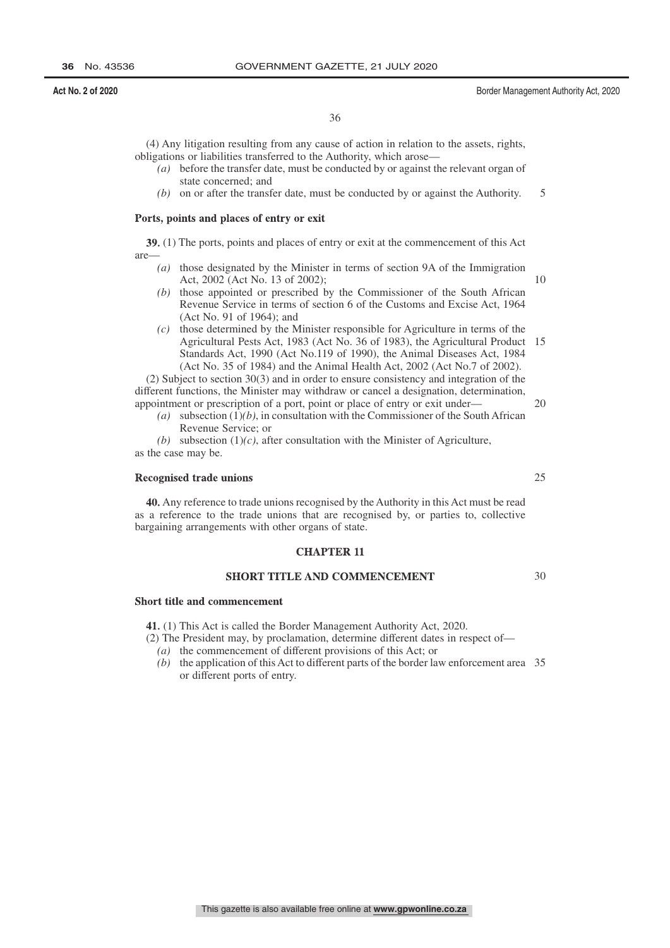(4) Any litigation resulting from any cause of action in relation to the assets, rights, obligations or liabilities transferred to the Authority, which arose—

- *(a)* before the transfer date, must be conducted by or against the relevant organ of state concerned; and
- *(b)* on or after the transfer date, must be conducted by or against the Authority. 5

#### Ports, points and places of entry or exit

(1) The ports, points and places of entry or exit at the commencement of this Act are—

- *(a)* those designated by the Minister in terms of section 9A of the Immigration Act, 2002 (Act No. 13 of 2002);
- *(b)* those appointed or prescribed by the Commissioner of the South African Revenue Service in terms of section 6 of the Customs and Excise Act, 1964 (Act No. 91 of 1964); and
- *(c)* those determined by the Minister responsible for Agriculture in terms of the Agricultural Pests Act, 1983 (Act No. 36 of 1983), the Agricultural Product 15 Standards Act, 1990 (Act No.119 of 1990), the Animal Diseases Act, 1984 (Act No. 35 of 1984) and the Animal Health Act, 2002 (Act No.7 of 2002).

(2) Subject to section 30(3) and in order to ensure consistency and integration of the different functions, the Minister may withdraw or cancel a designation, determination, appointment or prescription of a port, point or place of entry or exit under— 20

(a) subsection  $(1)(b)$ , in consultation with the Commissioner of the South African Revenue Service; or

#### **Recognised trade unions**

Any reference to trade unions recognised by the Authority in this Act must be read as a reference to the trade unions that are recognised by, or parties to, collective bargaining arrangements with other organs of state.

#### **CHAPTER 11**

### **SHORT TITLE AND COMMENCEMENT**

#### Short title and commencement

(1) This Act is called the Border Management Authority Act, 2020.

(2) The President may, by proclamation, determine different dates in respect of—

- *(a)* the commencement of different provisions of this Act; or
- *(b)* the application of this Act to different parts of the border law enforcement area 35or different ports of entry.

25

30

*<sup>(</sup>b)* subsection (1)*(c)*, after consultation with the Minister of Agriculture, as the case may be.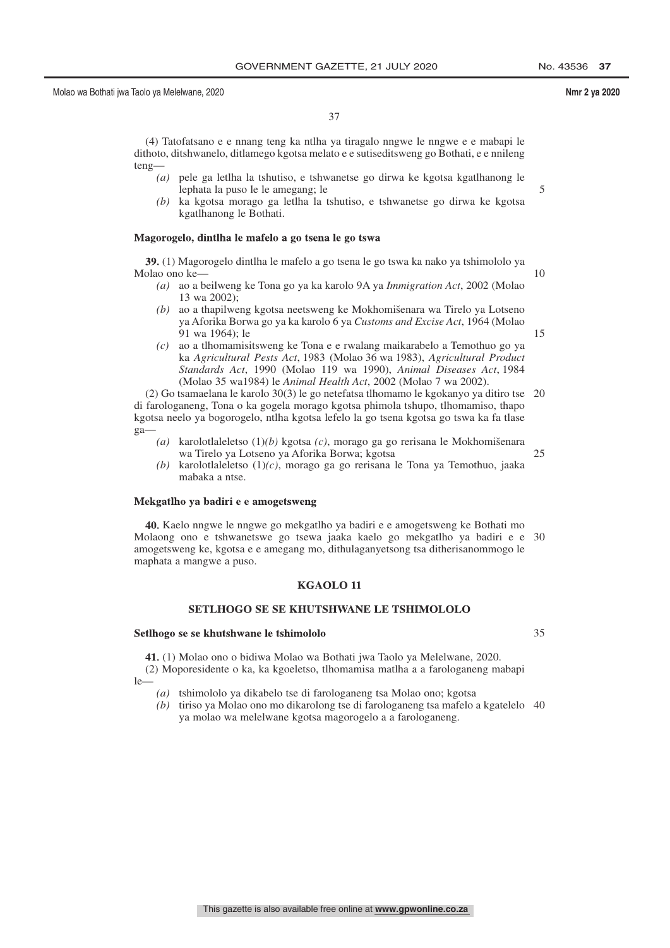37

(4) Tatofatsano e e nnang teng ka ntlha ya tiragalo nngwe le nngwe e e mabapi le dithoto, ditshwanelo, ditlamego kgotsa melato e e sutiseditsweng go Bothati, e e nnileng teng—

- *(a)* pele ga letlha la tshutiso, e tshwanetse go dirwa ke kgotsa kgatlhanong le lephata la puso le le amegang; le
- *(b)* ka kgotsa morago ga letlha la tshutiso, e tshwanetse go dirwa ke kgotsa kgatlhanong le Bothati.

#### Magorogelo, dintlha le mafelo a go tsena le go tswa

(1) Magorogelo dintlha le mafelo a go tsena le go tswa ka nako ya tshimololo ya Molao ono ke—

- *(a)* ao a beilweng ke Tona go ya ka karolo 9A ya *Immigration Act*, 2002 (Molao 13 wa 2002);
- *(b)* ao a thapilweng kgotsa neetsweng ke Mokhomišenara wa Tirelo ya Lotseno ya Aforika Borwa go ya ka karolo 6 ya *Customs and Excise Act*, 1964 (Molao 91 wa 1964); le
- *(c)* ao a tlhomamisitsweng ke Tona e e rwalang maikarabelo a Temothuo go ya ka *Agricultural Pests Act*, 1983 (Molao 36 wa 1983), *Agricultural Product Standards Act*, 1990 (Molao 119 wa 1990), *Animal Diseases Act*, 1984 (Molao 35 wa1984) le *Animal Health Act*, 2002 (Molao 7 wa 2002).

(2) Go tsamaelana le karolo 30(3) le go netefatsa tlhomamo le kgokanyo ya ditiro tse 20 di farologaneng, Tona o ka gogela morago kgotsa phimola tshupo, tlhomamiso, thapo kgotsa neelo ya bogorogelo, ntlha kgotsa lefelo la go tsena kgotsa go tswa ka fa tlase ga—

- (a) karolotlaleletso  $(1)(b)$  kgotsa  $(c)$ , morago ga go rerisana le Mokhomišenara wa Tirelo ya Lotseno ya Aforika Borwa; kgotsa  $25$
- *(b)* karolotlaleletso (1)*(c)*, morago ga go rerisana le Tona ya Temothuo, jaaka mabaka a ntse.

#### Mekgatlho ya badiri e e amogetsweng

Kaelo nngwe le nngwe go mekgatlho ya badiri e e amogetsweng ke Bothati mo Molaong ono e tshwanetswe go tsewa jaaka kaelo go mekgatlho ya badiri e e 30 amogetsweng ke, kgotsa e e amegang mo, dithulaganyetsong tsa ditherisanommogo le maphata a mangwe a puso.

#### **KGAOLO 11**

#### **SETLHOGO SE SE KHUTSHWANE LE TSHIMOLOLO**

#### Setlhogo se se khutshwane le tshimololo

(1) Molao ono o bidiwa Molao wa Bothati jwa Taolo ya Melelwane, 2020. (2) Moporesidente o ka, ka kgoeletso, tlhomamisa matlha a a farologaneng mabapi  $le-$ 

- *(a)* tshimololo ya dikabelo tse di farologaneng tsa Molao ono; kgotsa
- (b) tiriso ya Molao ono mo dikarolong tse di farologaneng tsa mafelo a kgatelelo 40 ya molao wa melelwane kgotsa magorogelo a a farologaneng.

10

15

5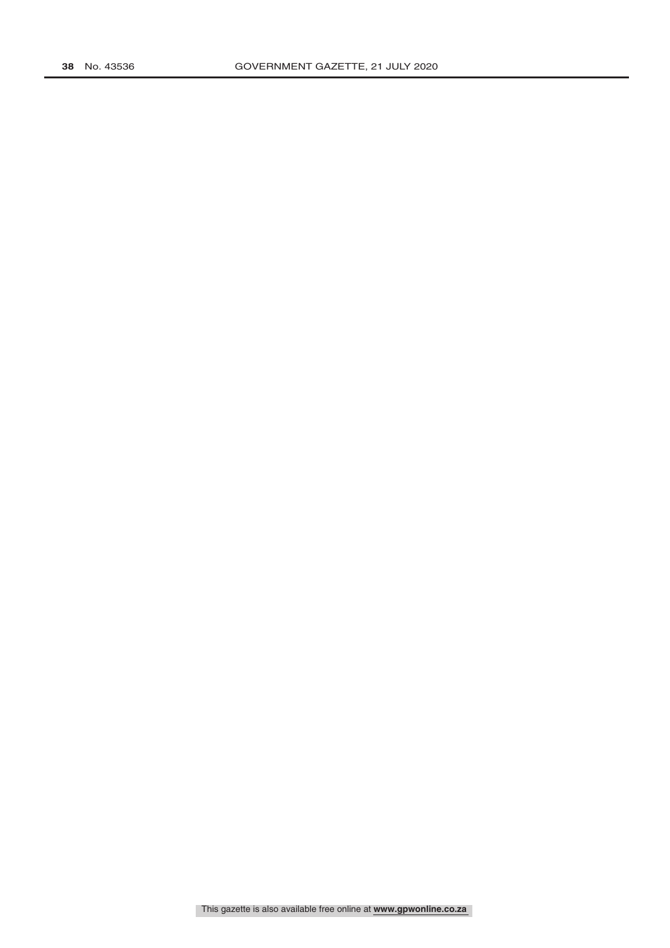This gazette is also available free online at **www.gpwonline.co.za**